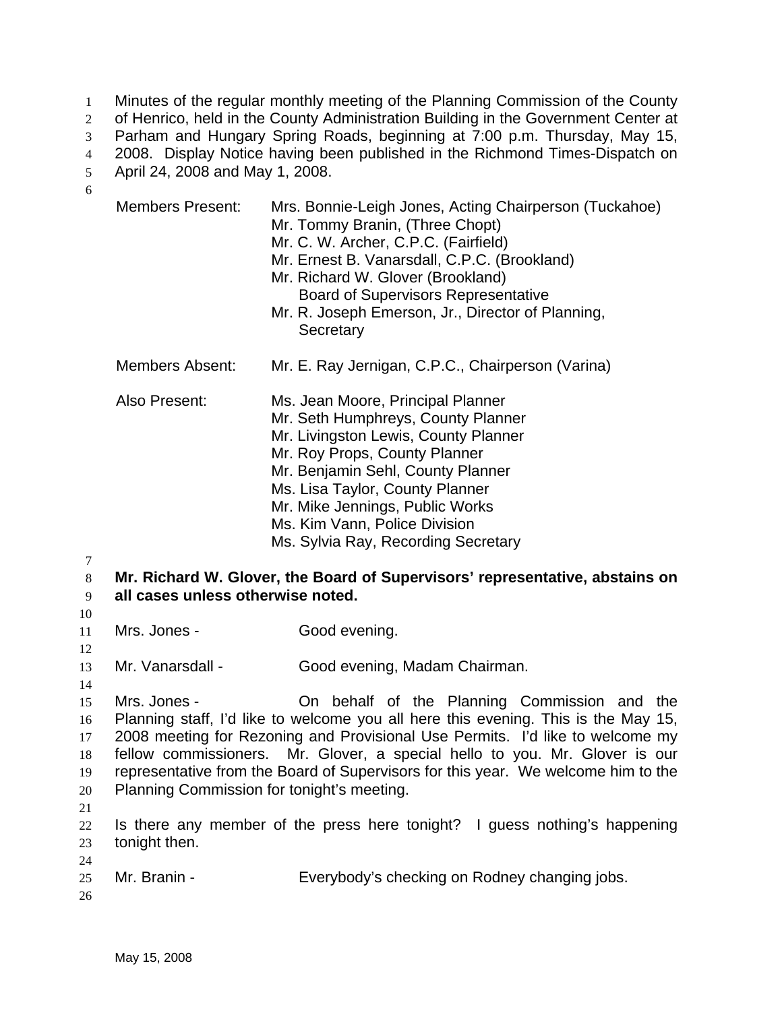Minutes of the regular monthly meeting of the Planning Commission of the County of Henrico, held in the County Administration Building in the Government Center at Parham and Hungary Spring Roads, beginning at 7:00 p.m. Thursday, May 15, 2008. Display Notice having been published in the Richmond Times-Dispatch on April 24, 2008 and May 1, 2008. 1  $2<sup>2</sup>$ 3 4 5 6

- 8 16 17 18 Members Present: Mrs. Bonnie-Leigh Jones, Acting Chairperson (Tuckahoe) Mr. Tommy Branin, (Three Chopt) Mr. C. W. Archer, C.P.C. (Fairfield) Mr. Ernest B. Vanarsdall, C.P.C. (Brookland) Mr. Richard W. Glover (Brookland) Board of Supervisors Representative Mr. R. Joseph Emerson, Jr., Director of Planning, **Secretary** Members Absent: Mr. E. Ray Jernigan, C.P.C., Chairperson (Varina) Also Present: Ms. Jean Moore, Principal Planner Mr. Seth Humphreys, County Planner Mr. Livingston Lewis, County Planner Mr. Roy Props, County Planner Mr. Benjamin Sehl, County Planner Ms. Lisa Taylor, County Planner Mr. Mike Jennings, Public Works Ms. Kim Vann, Police Division Ms. Sylvia Ray, Recording Secretary **Mr. Richard W. Glover, the Board of Supervisors' representative, abstains on all cases unless otherwise noted.**  Mrs. Jones - Good evening. Mr. Vanarsdall - Good evening, Madam Chairman. Mrs. Jones - **On behalf of the Planning Commission and the** Planning staff, I'd like to welcome you all here this evening. This is the May 15, 2008 meeting for Rezoning and Provisional Use Permits. I'd like to welcome my fellow commissioners. Mr. Glover, a special hello to you. Mr. Glover is our representative from the Board of Supervisors for this year. We welcome him to the Planning Commission for tonight's meeting.
- 20 21

19

7

- 22 23 Is there any member of the press here tonight? I guess nothing's happening tonight then.
- 25 Mr. Branin - Everybody's checking on Rodney changing jobs.
- 26

24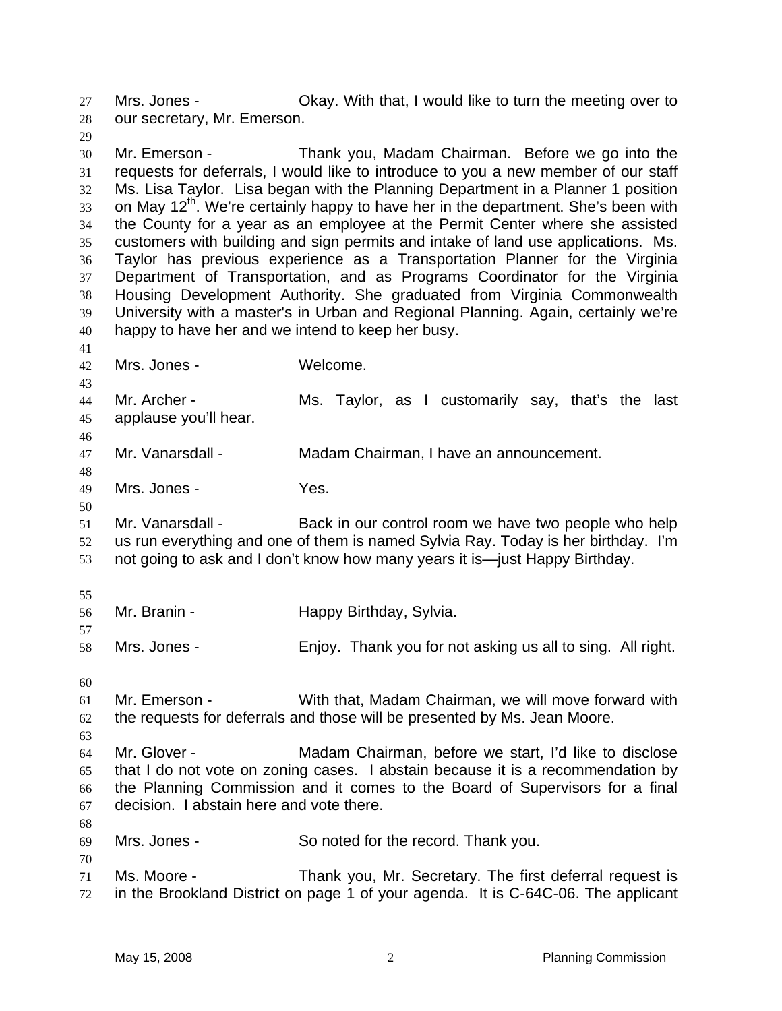Mrs. Jones - Ckay. With that, I would like to turn the meeting over to our secretary, Mr. Emerson. 27 28

29

30 31 32 33 34 35 36 37 38 39 40 Mr. Emerson - Thank you, Madam Chairman. Before we go into the requests for deferrals, I would like to introduce to you a new member of our staff Ms. Lisa Taylor. Lisa began with the Planning Department in a Planner 1 position on May 12<sup>th</sup>. We're certainly happy to have her in the department. She's been with the County for a year as an employee at the Permit Center where she assisted customers with building and sign permits and intake of land use applications. Ms. Taylor has previous experience as a Transportation Planner for the Virginia Department of Transportation, and as Programs Coordinator for the Virginia Housing Development Authority. She graduated from Virginia Commonwealth University with a master's in Urban and Regional Planning. Again, certainly we're happy to have her and we intend to keep her busy.

- 41
- 42 43

48

50

Mrs. Jones - Welcome.

44 45 46 Mr. Archer - The Ms. Taylor, as I customarily say, that's the last applause you'll hear.

- 47 Mr. Vanarsdall - Madam Chairman, I have an announcement.
- 49 Mrs. Jones - Yes.

51 52 53 Mr. Vanarsdall - Back in our control room we have two people who help us run everything and one of them is named Sylvia Ray. Today is her birthday. I'm not going to ask and I don't know how many years it is—just Happy Birthday.

55

57

| 56 | Mr. Branin - |                         |
|----|--------------|-------------------------|
|    |              | Happy Birthday, Sylvia. |

58 Mrs. Jones - Enjoy. Thank you for not asking us all to sing. All right.

60

68

70

```
61 
62 
     Mr. Emerson - With that, Madam Chairman, we will move forward with 
     the requests for deferrals and those will be presented by Ms. Jean Moore.
```
63 64 65 66 67 Mr. Glover - Madam Chairman, before we start, I'd like to disclose that I do not vote on zoning cases. I abstain because it is a recommendation by the Planning Commission and it comes to the Board of Supervisors for a final decision. I abstain here and vote there.

- 69 Mrs. Jones - So noted for the record. Thank you.
- 71 72 Ms. Moore - Thank you, Mr. Secretary. The first deferral request is in the Brookland District on page 1 of your agenda. It is C-64C-06. The applicant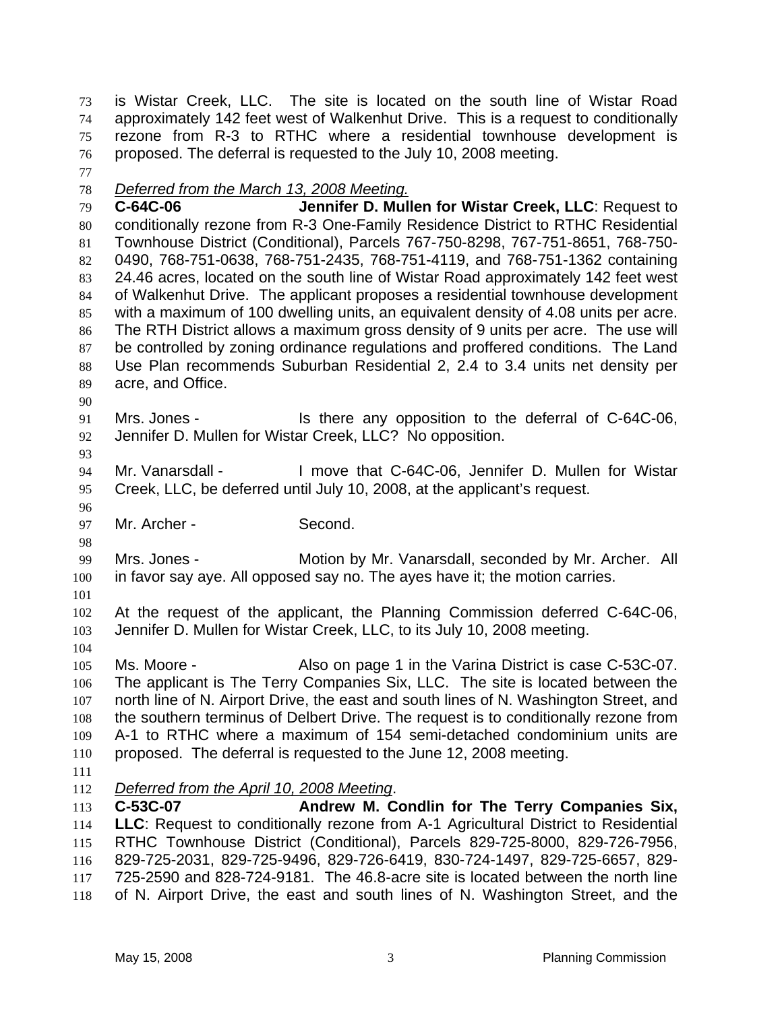is Wistar Creek, LLC. The site is located on the south line of Wistar Road approximately 142 feet west of Walkenhut Drive. This is a request to conditionally rezone from R-3 to RTHC where a residential townhouse development is proposed. The deferral is requested to the July 10, 2008 meeting. 73 74 75 76

77

## 78 *Deferred from the March 13, 2008 Meeting.*

79 80 81 82 83 84 85 86 87 88 89 **C-64C-06 Jennifer D. Mullen for Wistar Creek, LLC**: Request to conditionally rezone from R-3 One-Family Residence District to RTHC Residential Townhouse District (Conditional), Parcels 767-750-8298, 767-751-8651, 768-750- 0490, 768-751-0638, 768-751-2435, 768-751-4119, and 768-751-1362 containing 24.46 acres, located on the south line of Wistar Road approximately 142 feet west of Walkenhut Drive. The applicant proposes a residential townhouse development with a maximum of 100 dwelling units, an equivalent density of 4.08 units per acre. The RTH District allows a maximum gross density of 9 units per acre. The use will be controlled by zoning ordinance regulations and proffered conditions. The Land Use Plan recommends Suburban Residential 2, 2.4 to 3.4 units net density per acre, and Office.

- 90
- 91 92 Mrs. Jones - Is there any opposition to the deferral of C-64C-06, Jennifer D. Mullen for Wistar Creek, LLC? No opposition.
- 93

96

98

94 95 Mr. Vanarsdall - I move that C-64C-06, Jennifer D. Mullen for Wistar Creek, LLC, be deferred until July 10, 2008, at the applicant's request.

97 Mr. Archer - Second.

99 100 Mrs. Jones - Motion by Mr. Vanarsdall, seconded by Mr. Archer. All in favor say aye. All opposed say no. The ayes have it; the motion carries.

101

104

102 103 At the request of the applicant, the Planning Commission deferred C-64C-06, Jennifer D. Mullen for Wistar Creek, LLC, to its July 10, 2008 meeting.

105 106 107 108 109 110 Ms. Moore - Also on page 1 in the Varina District is case C-53C-07. The applicant is The Terry Companies Six, LLC. The site is located between the north line of N. Airport Drive, the east and south lines of N. Washington Street, and the southern terminus of Delbert Drive. The request is to conditionally rezone from A-1 to RTHC where a maximum of 154 semi-detached condominium units are proposed. The deferral is requested to the June 12, 2008 meeting.

111

112 *Deferred from the April 10, 2008 Meeting*.

113 114 115 116 117 118 **C-53C-07 Andrew M. Condlin for The Terry Companies Six, LLC**: Request to conditionally rezone from A-1 Agricultural District to Residential RTHC Townhouse District (Conditional), Parcels 829-725-8000, 829-726-7956, 829-725-2031, 829-725-9496, 829-726-6419, 830-724-1497, 829-725-6657, 829- 725-2590 and 828-724-9181. The 46.8-acre site is located between the north line of N. Airport Drive, the east and south lines of N. Washington Street, and the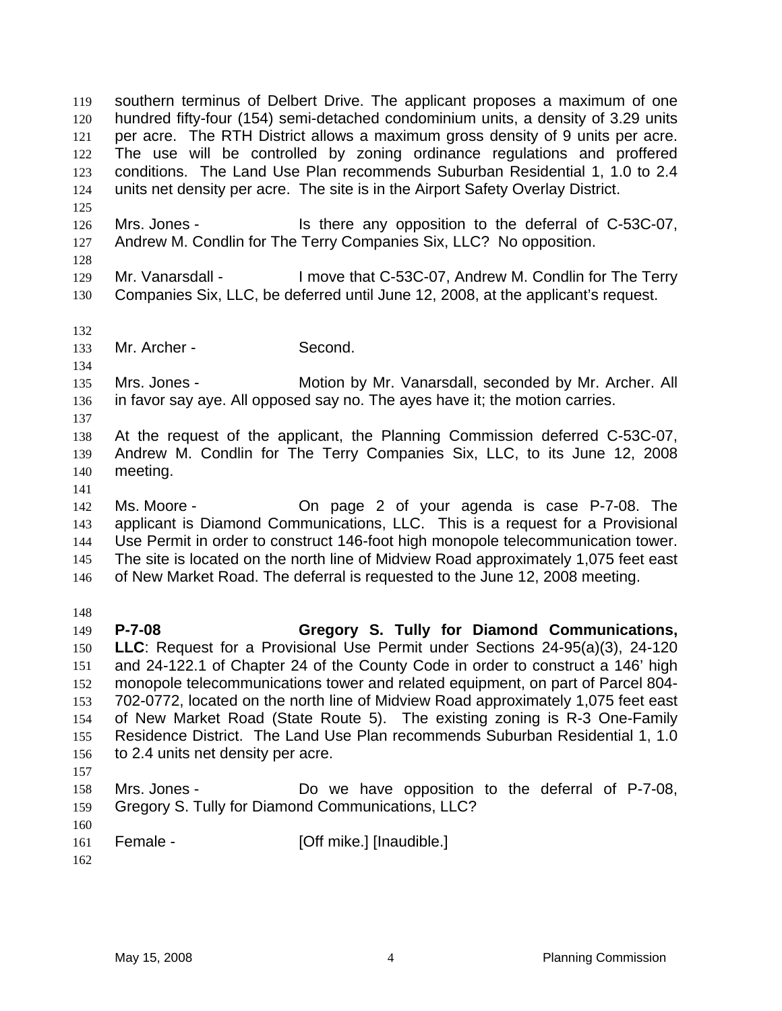southern terminus of Delbert Drive. The applicant proposes a maximum of one hundred fifty-four (154) semi-detached condominium units, a density of 3.29 units per acre. The RTH District allows a maximum gross density of 9 units per acre. The use will be controlled by zoning ordinance regulations and proffered conditions. The Land Use Plan recommends Suburban Residential 1, 1.0 to 2.4 units net density per acre. The site is in the Airport Safety Overlay District. 119 120 121 122 123 124 125 126 127 128 129 130 132 133 134 135 136 137 138 139 140 141 142 143 144 145 146 148 149 150 151 152 153 154 155 156 157 158 159 160 161 162 Mrs. Jones - Is there any opposition to the deferral of C-53C-07, Andrew M. Condlin for The Terry Companies Six, LLC? No opposition. Mr. Vanarsdall - I move that C-53C-07, Andrew M. Condlin for The Terry Companies Six, LLC, be deferred until June 12, 2008, at the applicant's request. Mr. Archer - Second. Mrs. Jones - Motion by Mr. Vanarsdall, seconded by Mr. Archer. All in favor say aye. All opposed say no. The ayes have it; the motion carries. At the request of the applicant, the Planning Commission deferred C-53C-07, Andrew M. Condlin for The Terry Companies Six, LLC, to its June 12, 2008 meeting. Ms. Moore - On page 2 of your agenda is case P-7-08. The applicant is Diamond Communications, LLC. This is a request for a Provisional Use Permit in order to construct 146-foot high monopole telecommunication tower. The site is located on the north line of Midview Road approximately 1,075 feet east of New Market Road. The deferral is requested to the June 12, 2008 meeting. **P-7-08 Gregory S. Tully for Diamond Communications, LLC**: Request for a Provisional Use Permit under Sections 24-95(a)(3), 24-120 and 24-122.1 of Chapter 24 of the County Code in order to construct a 146' high monopole telecommunications tower and related equipment, on part of Parcel 804- 702-0772, located on the north line of Midview Road approximately 1,075 feet east of New Market Road (State Route 5). The existing zoning is R-3 One-Family Residence District. The Land Use Plan recommends Suburban Residential 1, 1.0 to 2.4 units net density per acre. Mrs. Jones - Do we have opposition to the deferral of P-7-08, Gregory S. Tully for Diamond Communications, LLC? Female - [Off mike.] [Inaudible.]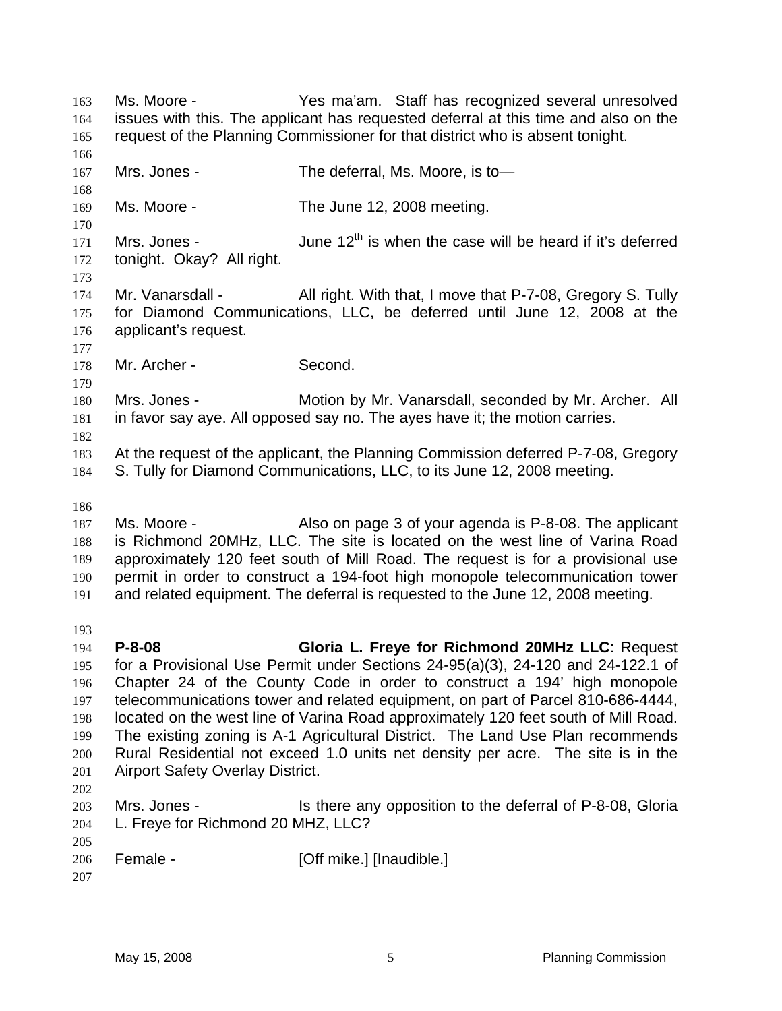Ms. Moore - Yes ma'am. Staff has recognized several unresolved issues with this. The applicant has requested deferral at this time and also on the request of the Planning Commissioner for that district who is absent tonight. 163 164 165 166 167 168 169 170 171 172 173 174 175 176 177 178 179 180 181 182 183 184 186 187 188 189 190 191 193 194 195 196 197 198 199 200 201 202 203 204 205 206 207 Mrs. Jones - The deferral, Ms. Moore, is to Ms. Moore - The June 12, 2008 meeting. Mrs. Jones -  $\mu$  June 12<sup>th</sup> is when the case will be heard if it's deferred tonight. Okay? All right. Mr. Vanarsdall - All right. With that, I move that P-7-08, Gregory S. Tully for Diamond Communications, LLC, be deferred until June 12, 2008 at the applicant's request. Mr. Archer - Second. Mrs. Jones - Motion by Mr. Vanarsdall, seconded by Mr. Archer. All in favor say aye. All opposed say no. The ayes have it; the motion carries. At the request of the applicant, the Planning Commission deferred P-7-08, Gregory S. Tully for Diamond Communications, LLC, to its June 12, 2008 meeting. Ms. Moore - Also on page 3 of your agenda is P-8-08. The applicant is Richmond 20MHz, LLC. The site is located on the west line of Varina Road approximately 120 feet south of Mill Road. The request is for a provisional use permit in order to construct a 194-foot high monopole telecommunication tower and related equipment. The deferral is requested to the June 12, 2008 meeting. **P-8-08 Gloria L. Freye for Richmond 20MHz LLC**: Request for a Provisional Use Permit under Sections 24-95(a)(3), 24-120 and 24-122.1 of Chapter 24 of the County Code in order to construct a 194' high monopole telecommunications tower and related equipment, on part of Parcel 810-686-4444, located on the west line of Varina Road approximately 120 feet south of Mill Road. The existing zoning is A-1 Agricultural District. The Land Use Plan recommends Rural Residential not exceed 1.0 units net density per acre. The site is in the Airport Safety Overlay District. Mrs. Jones - Is there any opposition to the deferral of P-8-08, Gloria L. Freye for Richmond 20 MHZ, LLC? Female - [Off mike.] [Inaudible.]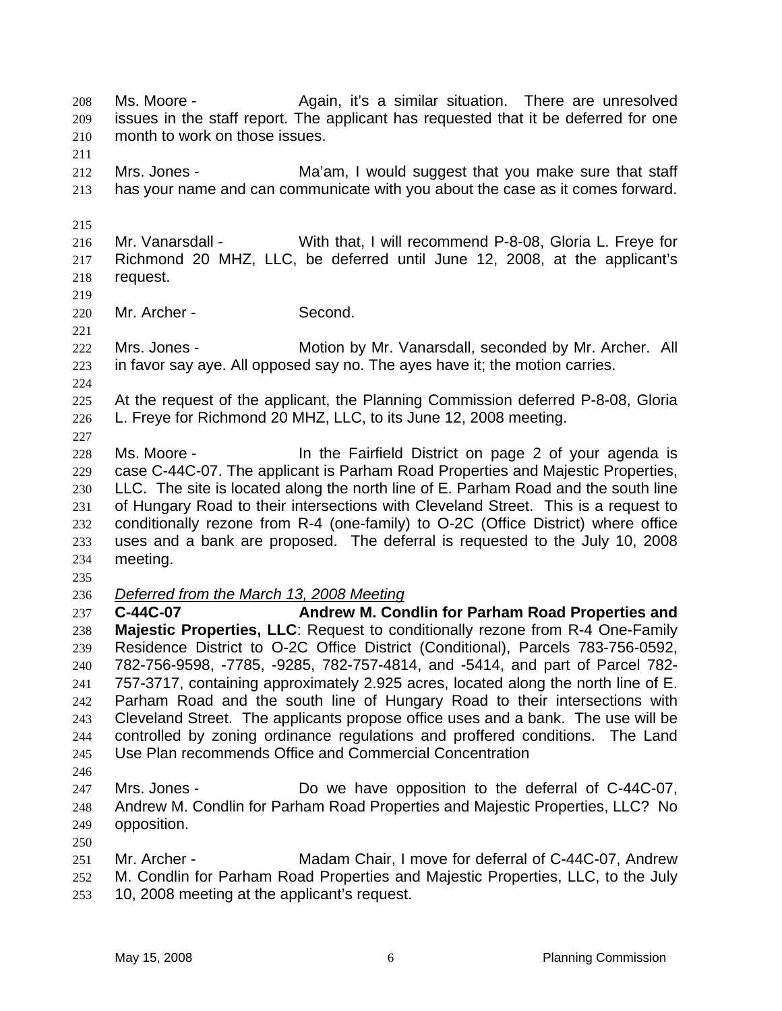Ms. Moore - The Again, it's a similar situation. There are unresolved issues in the staff report. The applicant has requested that it be deferred for one month to work on those issues. 208 209 210

211

212 213 Mrs. Jones - Ma'am, I would suggest that you make sure that staff has your name and can communicate with you about the case as it comes forward.

215

219

221

216 217 218 Mr. Vanarsdall - With that, I will recommend P-8-08, Gloria L. Freye for Richmond 20 MHZ, LLC, be deferred until June 12, 2008, at the applicant's request.

220 Mr. Archer - Second.

222 223 Mrs. Jones - Motion by Mr. Vanarsdall, seconded by Mr. Archer. All in favor say aye. All opposed say no. The ayes have it; the motion carries.

224

227

225 226 At the request of the applicant, the Planning Commission deferred P-8-08, Gloria L. Freye for Richmond 20 MHZ, LLC, to its June 12, 2008 meeting.

228 229 230 231 232 233 234 Ms. Moore - In the Fairfield District on page 2 of your agenda is case C-44C-07. The applicant is Parham Road Properties and Majestic Properties, LLC. The site is located along the north line of E. Parham Road and the south line of Hungary Road to their intersections with Cleveland Street. This is a request to conditionally rezone from R-4 (one-family) to O-2C (Office District) where office uses and a bank are proposed. The deferral is requested to the July 10, 2008 meeting.

235

236 *Deferred from the March 13, 2008 Meeting*

237 238 239 240 241 242 243 244 245 **C-44C-07 Andrew M. Condlin for Parham Road Properties and Majestic Properties, LLC**: Request to conditionally rezone from R-4 One-Family Residence District to O-2C Office District (Conditional), Parcels 783-756-0592, 782-756-9598, -7785, -9285, 782-757-4814, and -5414, and part of Parcel 782- 757-3717, containing approximately 2.925 acres, located along the north line of E. Parham Road and the south line of Hungary Road to their intersections with Cleveland Street. The applicants propose office uses and a bank. The use will be controlled by zoning ordinance regulations and proffered conditions. The Land Use Plan recommends Office and Commercial Concentration

246

250

- 247 248 249 Mrs. Jones - Do we have opposition to the deferral of C-44C-07, Andrew M. Condlin for Parham Road Properties and Majestic Properties, LLC? No opposition.
- 251 252 Mr. Archer - Madam Chair, I move for deferral of C-44C-07, Andrew M. Condlin for Parham Road Properties and Majestic Properties, LLC, to the July
- 253 10, 2008 meeting at the applicant's request.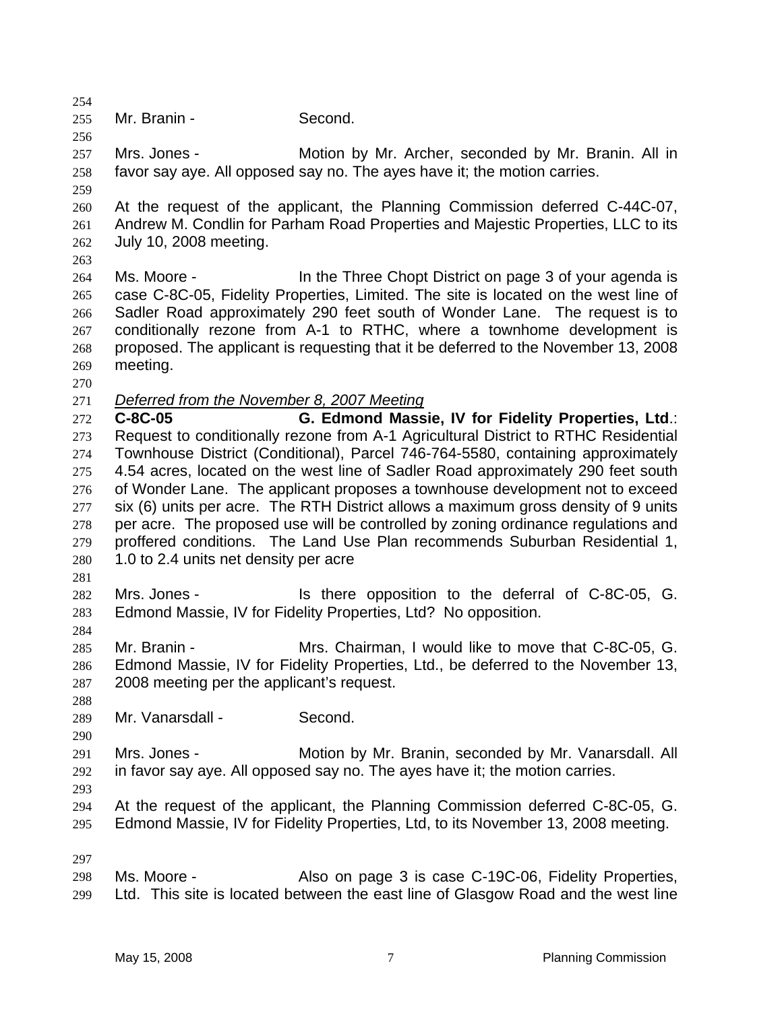255 Mr. Branin - Second.

257 258 Mrs. Jones - Motion by Mr. Archer, seconded by Mr. Branin. All in favor say aye. All opposed say no. The ayes have it; the motion carries.

259

254

256

260 261 262 At the request of the applicant, the Planning Commission deferred C-44C-07, Andrew M. Condlin for Parham Road Properties and Majestic Properties, LLC to its July 10, 2008 meeting.

263

264 265 266 267 268 269 Ms. Moore - In the Three Chopt District on page 3 of your agenda is case C-8C-05, Fidelity Properties, Limited. The site is located on the west line of Sadler Road approximately 290 feet south of Wonder Lane. The request is to conditionally rezone from A-1 to RTHC, where a townhome development is proposed. The applicant is requesting that it be deferred to the November 13, 2008 meeting.

270

271 *Deferred from the November 8, 2007 Meeting*

272 273 274 275 276 277 278 279 280 **C-8C-05 G. Edmond Massie, IV for Fidelity Properties, Ltd**.: Request to conditionally rezone from A-1 Agricultural District to RTHC Residential Townhouse District (Conditional), Parcel 746-764-5580, containing approximately 4.54 acres, located on the west line of Sadler Road approximately 290 feet south of Wonder Lane. The applicant proposes a townhouse development not to exceed six (6) units per acre. The RTH District allows a maximum gross density of 9 units per acre. The proposed use will be controlled by zoning ordinance regulations and proffered conditions. The Land Use Plan recommends Suburban Residential 1, 1.0 to 2.4 units net density per acre

281

284

282 283 Mrs. Jones - Is there opposition to the deferral of C-8C-05, G. Edmond Massie, IV for Fidelity Properties, Ltd? No opposition.

285 286 287 Mr. Branin - Mrs. Chairman, I would like to move that C-8C-05, G. Edmond Massie, IV for Fidelity Properties, Ltd., be deferred to the November 13, 2008 meeting per the applicant's request.

288 289 Mr. Vanarsdall - Second.

290 291 292 Mrs. Jones - **Motion by Mr. Branin, seconded by Mr. Vanarsdall. All** in favor say aye. All opposed say no. The ayes have it; the motion carries.

293

294 295 At the request of the applicant, the Planning Commission deferred C-8C-05, G. Edmond Massie, IV for Fidelity Properties, Ltd, to its November 13, 2008 meeting.

297

298 299 Ms. Moore - Also on page 3 is case C-19C-06, Fidelity Properties, Ltd. This site is located between the east line of Glasgow Road and the west line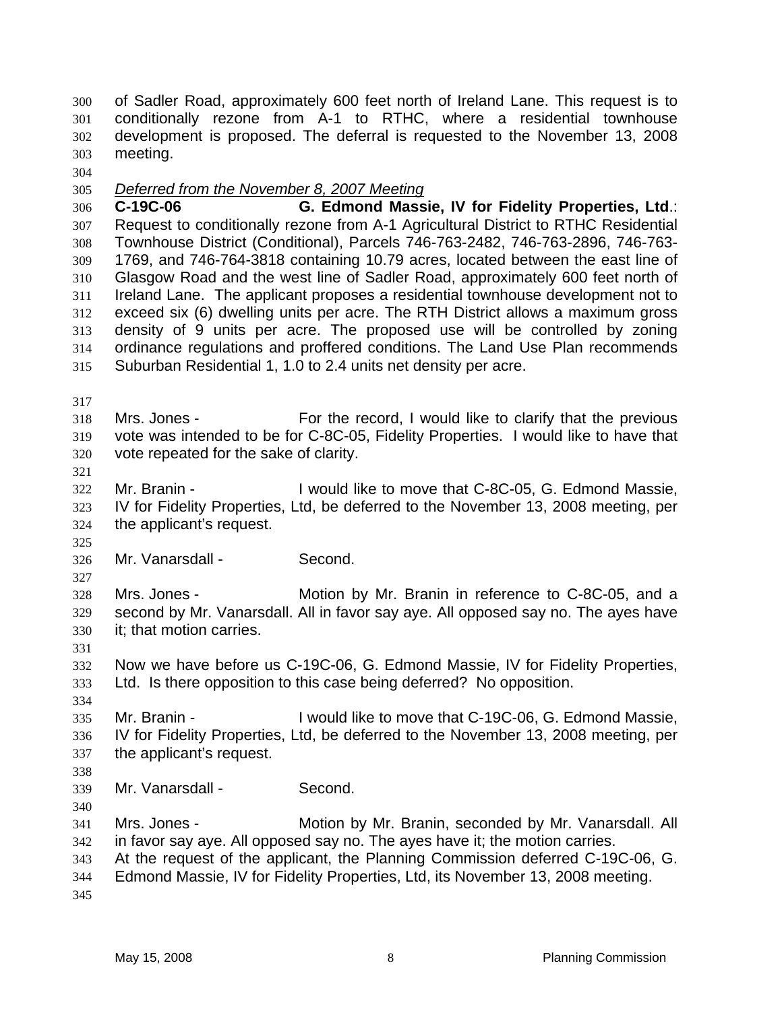of Sadler Road, approximately 600 feet north of Ireland Lane. This request is to conditionally rezone from A-1 to RTHC, where a residential townhouse development is proposed. The deferral is requested to the November 13, 2008 meeting. 300 301 302 303

304

305 *Deferred from the November 8, 2007 Meeting*

306 307 308 309 310 311 312 313 314 315 **C-19C-06 G. Edmond Massie, IV for Fidelity Properties, Ltd**.: Request to conditionally rezone from A-1 Agricultural District to RTHC Residential Townhouse District (Conditional), Parcels 746-763-2482, 746-763-2896, 746-763- 1769, and 746-764-3818 containing 10.79 acres, located between the east line of Glasgow Road and the west line of Sadler Road, approximately 600 feet north of Ireland Lane. The applicant proposes a residential townhouse development not to exceed six (6) dwelling units per acre. The RTH District allows a maximum gross density of 9 units per acre. The proposed use will be controlled by zoning ordinance regulations and proffered conditions. The Land Use Plan recommends Suburban Residential 1, 1.0 to 2.4 units net density per acre.

317

318 319 320 Mrs. Jones - For the record, I would like to clarify that the previous vote was intended to be for C-8C-05, Fidelity Properties. I would like to have that vote repeated for the sake of clarity.

321

325

327

331

322 323 324 Mr. Branin - I would like to move that C-8C-05, G. Edmond Massie, IV for Fidelity Properties, Ltd, be deferred to the November 13, 2008 meeting, per the applicant's request.

326 Mr. Vanarsdall - Second.

328 329 330 Mrs. Jones - Motion by Mr. Branin in reference to C-8C-05, and a second by Mr. Vanarsdall. All in favor say aye. All opposed say no. The ayes have it; that motion carries.

332 333 Now we have before us C-19C-06, G. Edmond Massie, IV for Fidelity Properties, Ltd. Is there opposition to this case being deferred? No opposition.

334 335 336 337 Mr. Branin - I would like to move that C-19C-06, G. Edmond Massie, IV for Fidelity Properties, Ltd, be deferred to the November 13, 2008 meeting, per the applicant's request.

338

340

339 Mr. Vanarsdall - Second.

341 342 343 344 Mrs. Jones - **Motion by Mr. Branin, seconded by Mr. Vanarsdall. All** in favor say aye. All opposed say no. The ayes have it; the motion carries. At the request of the applicant, the Planning Commission deferred C-19C-06, G. Edmond Massie, IV for Fidelity Properties, Ltd, its November 13, 2008 meeting.

345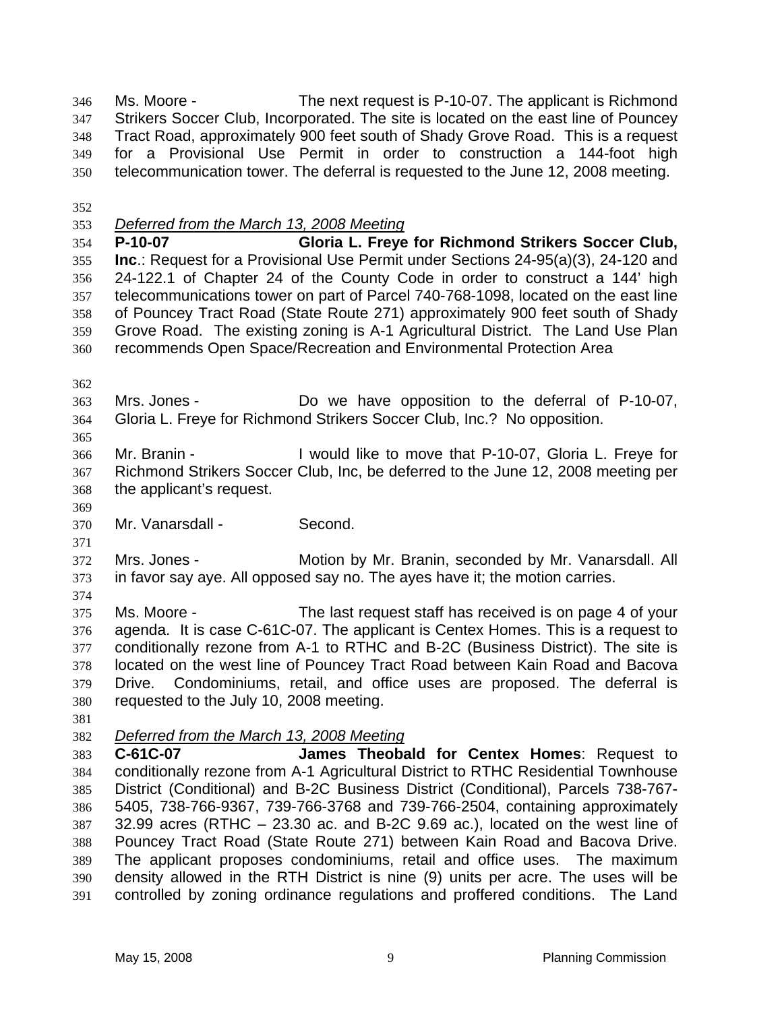Ms. Moore - The next request is P-10-07. The applicant is Richmond Strikers Soccer Club, Incorporated. The site is located on the east line of Pouncey Tract Road, approximately 900 feet south of Shady Grove Road. This is a request for a Provisional Use Permit in order to construction a 144-foot high telecommunication tower. The deferral is requested to the June 12, 2008 meeting. 346 347 348 349 350

- 352
- 353 *Deferred from the March 13, 2008 Meeting*

354 355 356 357 358 359 360 **P-10-07 Gloria L. Freye for Richmond Strikers Soccer Club, Inc**.: Request for a Provisional Use Permit under Sections 24-95(a)(3), 24-120 and 24-122.1 of Chapter 24 of the County Code in order to construct a 144' high telecommunications tower on part of Parcel 740-768-1098, located on the east line of Pouncey Tract Road (State Route 271) approximately 900 feet south of Shady Grove Road. The existing zoning is A-1 Agricultural District. The Land Use Plan recommends Open Space/Recreation and Environmental Protection Area

362

365

- 363 364 Mrs. Jones - Do we have opposition to the deferral of P-10-07, Gloria L. Freye for Richmond Strikers Soccer Club, Inc.? No opposition.
- 366 367 368 Mr. Branin - I would like to move that P-10-07, Gloria L. Freye for Richmond Strikers Soccer Club, Inc, be deferred to the June 12, 2008 meeting per the applicant's request.
- 369

371

370 Mr. Vanarsdall - Second.

372 373 Mrs. Jones - Motion by Mr. Branin, seconded by Mr. Vanarsdall. All in favor say aye. All opposed say no. The ayes have it; the motion carries.

374

375 376 377 378 379 380 Ms. Moore - The last request staff has received is on page 4 of your agenda. It is case C-61C-07. The applicant is Centex Homes. This is a request to conditionally rezone from A-1 to RTHC and B-2C (Business District). The site is located on the west line of Pouncey Tract Road between Kain Road and Bacova Drive. Condominiums, retail, and office uses are proposed. The deferral is requested to the July 10, 2008 meeting.

- 381
- 382 *Deferred from the March 13, 2008 Meeting*

383 384 385 386 387 388 389 390 391 **C-61C-07 James Theobald for Centex Homes**: Request to conditionally rezone from A-1 Agricultural District to RTHC Residential Townhouse District (Conditional) and B-2C Business District (Conditional), Parcels 738-767- 5405, 738-766-9367, 739-766-3768 and 739-766-2504, containing approximately 32.99 acres (RTHC – 23.30 ac. and B-2C 9.69 ac.), located on the west line of Pouncey Tract Road (State Route 271) between Kain Road and Bacova Drive. The applicant proposes condominiums, retail and office uses. The maximum density allowed in the RTH District is nine (9) units per acre. The uses will be controlled by zoning ordinance regulations and proffered conditions. The Land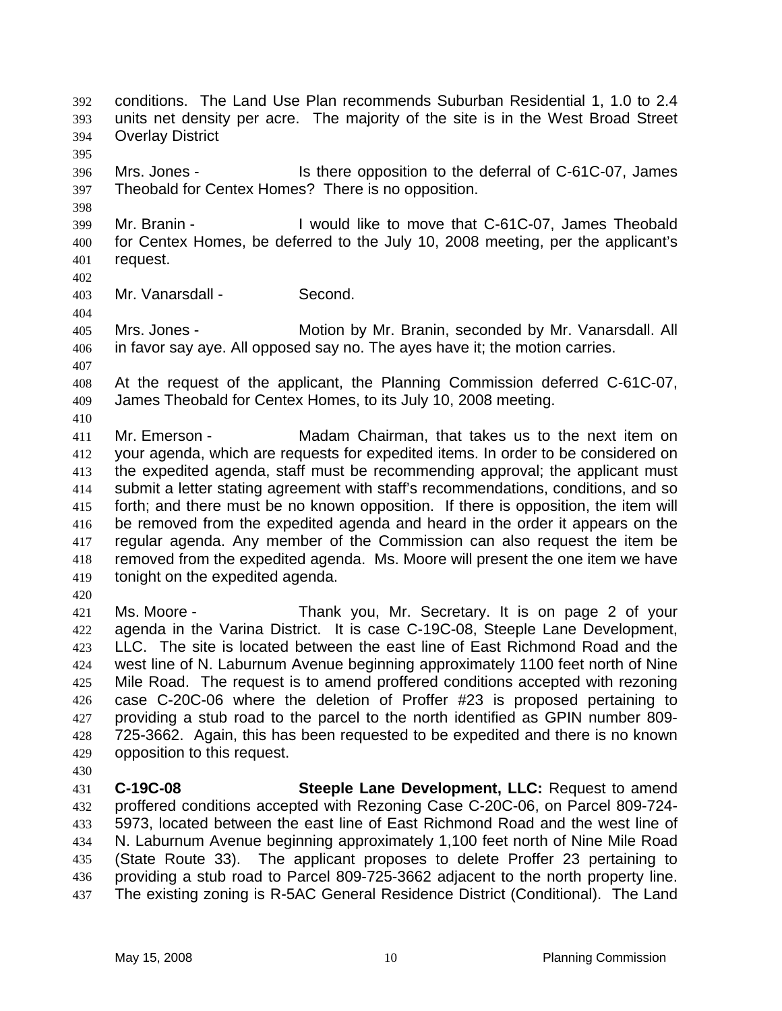conditions. The Land Use Plan recommends Suburban Residential 1, 1.0 to 2.4 units net density per acre. The majority of the site is in the West Broad Street Overlay District 392 393 394

396 397 Mrs. Jones - Is there opposition to the deferral of C-61C-07, James Theobald for Centex Homes? There is no opposition.

399 400 401 Mr. Branin - The Unit of I would like to move that C-61C-07, James Theobald for Centex Homes, be deferred to the July 10, 2008 meeting, per the applicant's request.

402

404

407

410

395

398

403 Mr. Vanarsdall - Second.

405 406 Mrs. Jones - **Motion by Mr. Branin, seconded by Mr. Vanarsdall. All** in favor say aye. All opposed say no. The ayes have it; the motion carries.

408 409 At the request of the applicant, the Planning Commission deferred C-61C-07, James Theobald for Centex Homes, to its July 10, 2008 meeting.

411 412 413 414 415 416 417 418 419 Mr. Emerson - Madam Chairman, that takes us to the next item on your agenda, which are requests for expedited items. In order to be considered on the expedited agenda, staff must be recommending approval; the applicant must submit a letter stating agreement with staff's recommendations, conditions, and so forth; and there must be no known opposition. If there is opposition, the item will be removed from the expedited agenda and heard in the order it appears on the regular agenda. Any member of the Commission can also request the item be removed from the expedited agenda. Ms. Moore will present the one item we have tonight on the expedited agenda.

420

421 422 423 424 425 426 427 428 429 Ms. Moore - Thank you, Mr. Secretary. It is on page 2 of your agenda in the Varina District. It is case C-19C-08, Steeple Lane Development, LLC. The site is located between the east line of East Richmond Road and the west line of N. Laburnum Avenue beginning approximately 1100 feet north of Nine Mile Road. The request is to amend proffered conditions accepted with rezoning case C-20C-06 where the deletion of Proffer #23 is proposed pertaining to providing a stub road to the parcel to the north identified as GPIN number 809- 725-3662. Again, this has been requested to be expedited and there is no known opposition to this request.

430

431 432 433 434 435 436 437 **C-19C-08 Steeple Lane Development, LLC:** Request to amend proffered conditions accepted with Rezoning Case C-20C-06, on Parcel 809-724- 5973, located between the east line of East Richmond Road and the west line of N. Laburnum Avenue beginning approximately 1,100 feet north of Nine Mile Road (State Route 33). The applicant proposes to delete Proffer 23 pertaining to providing a stub road to Parcel 809-725-3662 adjacent to the north property line. The existing zoning is R-5AC General Residence District (Conditional). The Land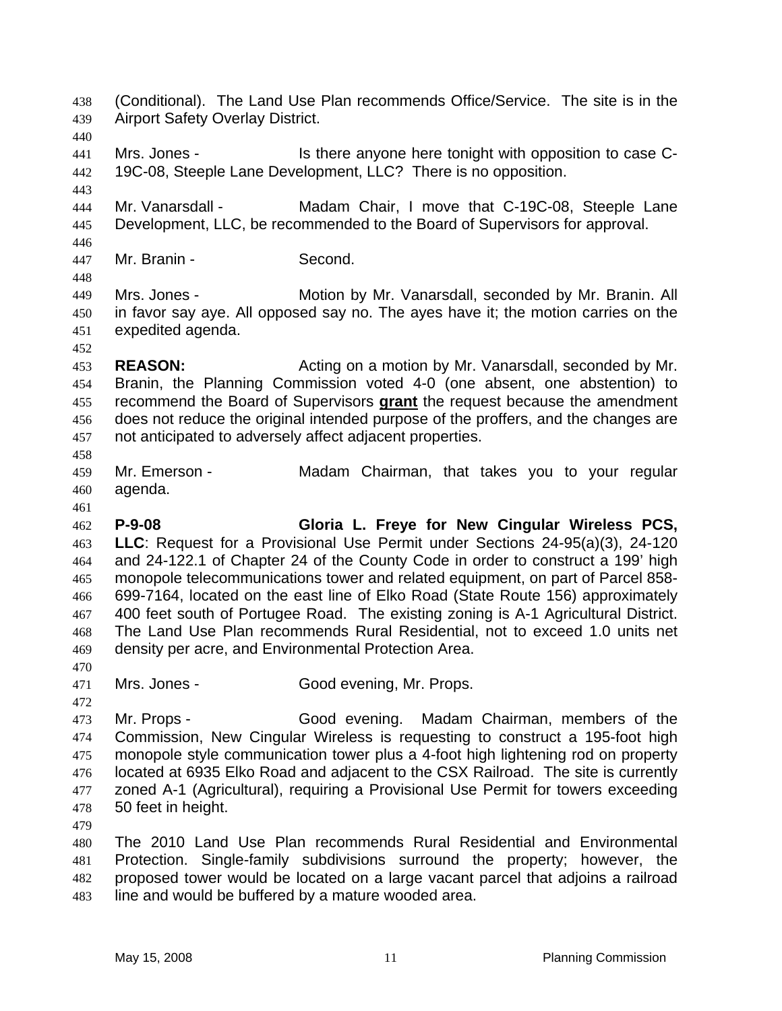(Conditional). The Land Use Plan recommends Office/Service. The site is in the Airport Safety Overlay District. 438 439

440

443

441 442 Mrs. Jones - Is there anyone here tonight with opposition to case C-19C-08, Steeple Lane Development, LLC? There is no opposition.

444 445 Mr. Vanarsdall - Madam Chair, I move that C-19C-08, Steeple Lane Development, LLC, be recommended to the Board of Supervisors for approval.

446 447

448

452

458

Mr. Branin - Second.

449 450 451 Mrs. Jones - **Motion by Mr. Vanarsdall, seconded by Mr. Branin. All** in favor say aye. All opposed say no. The ayes have it; the motion carries on the expedited agenda.

453 454 **REASON:** Acting on a motion by Mr. Vanarsdall, seconded by Mr. Branin, the Planning Commission voted 4-0 (one absent, one abstention) to recommend the Board of Supervisors **grant** the request because the amendment does not reduce the original intended purpose of the proffers, and the changes are not anticipated to adversely affect adjacent properties. 455 456 457

459 460 Mr. Emerson - The Madam Chairman, that takes you to your regular agenda.

461

462 463 464 465 466 467 468 469 470 **P-9-08 Gloria L. Freye for New Cingular Wireless PCS, LLC**: Request for a Provisional Use Permit under Sections 24-95(a)(3), 24-120 and 24-122.1 of Chapter 24 of the County Code in order to construct a 199' high monopole telecommunications tower and related equipment, on part of Parcel 858- 699-7164, located on the east line of Elko Road (State Route 156) approximately 400 feet south of Portugee Road. The existing zoning is A-1 Agricultural District. The Land Use Plan recommends Rural Residential, not to exceed 1.0 units net density per acre, and Environmental Protection Area.

471 Mrs. Jones - Good evening, Mr. Props.

472 473 474 475 476 477 478 Mr. Props - Good evening. Madam Chairman, members of the Commission, New Cingular Wireless is requesting to construct a 195-foot high monopole style communication tower plus a 4-foot high lightening rod on property located at 6935 Elko Road and adjacent to the CSX Railroad. The site is currently zoned A-1 (Agricultural), requiring a Provisional Use Permit for towers exceeding 50 feet in height.

479

480 481 482 483 The 2010 Land Use Plan recommends Rural Residential and Environmental Protection. Single-family subdivisions surround the property; however, the proposed tower would be located on a large vacant parcel that adjoins a railroad line and would be buffered by a mature wooded area.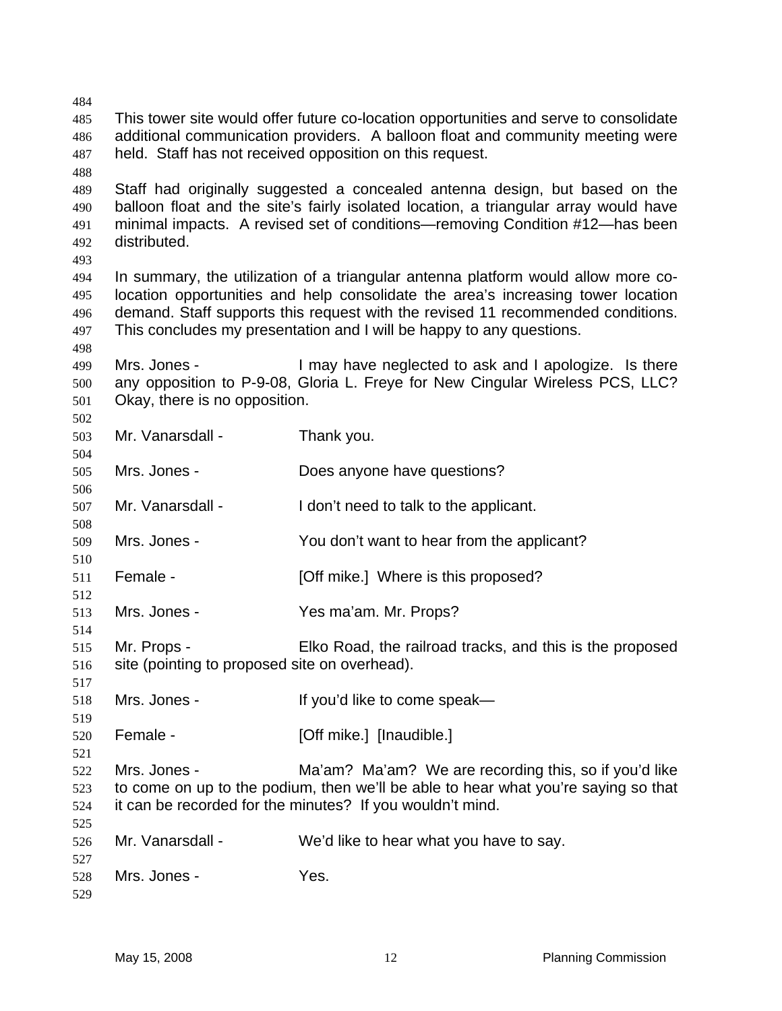| 484 |                                                                                      |                                                                                       |  |
|-----|--------------------------------------------------------------------------------------|---------------------------------------------------------------------------------------|--|
| 485 |                                                                                      | This tower site would offer future co-location opportunities and serve to consolidate |  |
| 486 | additional communication providers. A balloon float and community meeting were       |                                                                                       |  |
| 487 | held. Staff has not received opposition on this request.                             |                                                                                       |  |
| 488 |                                                                                      |                                                                                       |  |
|     |                                                                                      |                                                                                       |  |
| 489 | Staff had originally suggested a concealed antenna design, but based on the          |                                                                                       |  |
| 490 | balloon float and the site's fairly isolated location, a triangular array would have |                                                                                       |  |
| 491 | minimal impacts. A revised set of conditions—removing Condition #12—has been         |                                                                                       |  |
| 492 | distributed.                                                                         |                                                                                       |  |
| 493 |                                                                                      |                                                                                       |  |
| 494 | In summary, the utilization of a triangular antenna platform would allow more co-    |                                                                                       |  |
| 495 | location opportunities and help consolidate the area's increasing tower location     |                                                                                       |  |
| 496 |                                                                                      | demand. Staff supports this request with the revised 11 recommended conditions.       |  |
| 497 |                                                                                      | This concludes my presentation and I will be happy to any questions.                  |  |
| 498 |                                                                                      |                                                                                       |  |
| 499 | Mrs. Jones -                                                                         | I may have neglected to ask and I apologize. Is there                                 |  |
| 500 |                                                                                      | any opposition to P-9-08, Gloria L. Freye for New Cingular Wireless PCS, LLC?         |  |
| 501 | Okay, there is no opposition.                                                        |                                                                                       |  |
| 502 |                                                                                      |                                                                                       |  |
| 503 | Mr. Vanarsdall -                                                                     | Thank you.                                                                            |  |
| 504 |                                                                                      |                                                                                       |  |
| 505 | Mrs. Jones -                                                                         | Does anyone have questions?                                                           |  |
| 506 |                                                                                      |                                                                                       |  |
| 507 | Mr. Vanarsdall -                                                                     | I don't need to talk to the applicant.                                                |  |
| 508 |                                                                                      |                                                                                       |  |
| 509 | Mrs. Jones -                                                                         | You don't want to hear from the applicant?                                            |  |
| 510 |                                                                                      |                                                                                       |  |
| 511 | Female -                                                                             | [Off mike.] Where is this proposed?                                                   |  |
| 512 |                                                                                      |                                                                                       |  |
| 513 | Mrs. Jones -                                                                         | Yes ma'am. Mr. Props?                                                                 |  |
| 514 |                                                                                      |                                                                                       |  |
| 515 | Mr. Props -                                                                          | Elko Road, the railroad tracks, and this is the proposed                              |  |
| 516 |                                                                                      |                                                                                       |  |
|     | site (pointing to proposed site on overhead).                                        |                                                                                       |  |
| 517 | Mrs. Jones -                                                                         |                                                                                       |  |
| 518 |                                                                                      | If you'd like to come speak-                                                          |  |
| 519 |                                                                                      |                                                                                       |  |
| 520 | Female -                                                                             | [Off mike.] [Inaudible.]                                                              |  |
| 521 |                                                                                      |                                                                                       |  |
| 522 | Mrs. Jones -                                                                         | Ma'am? Ma'am? We are recording this, so if you'd like                                 |  |
| 523 | to come on up to the podium, then we'll be able to hear what you're saying so that   |                                                                                       |  |
| 524 |                                                                                      | it can be recorded for the minutes? If you wouldn't mind.                             |  |
| 525 |                                                                                      |                                                                                       |  |
| 526 | Mr. Vanarsdall -                                                                     | We'd like to hear what you have to say.                                               |  |
| 527 |                                                                                      |                                                                                       |  |
| 528 | Mrs. Jones -                                                                         | Yes.                                                                                  |  |
| 529 |                                                                                      |                                                                                       |  |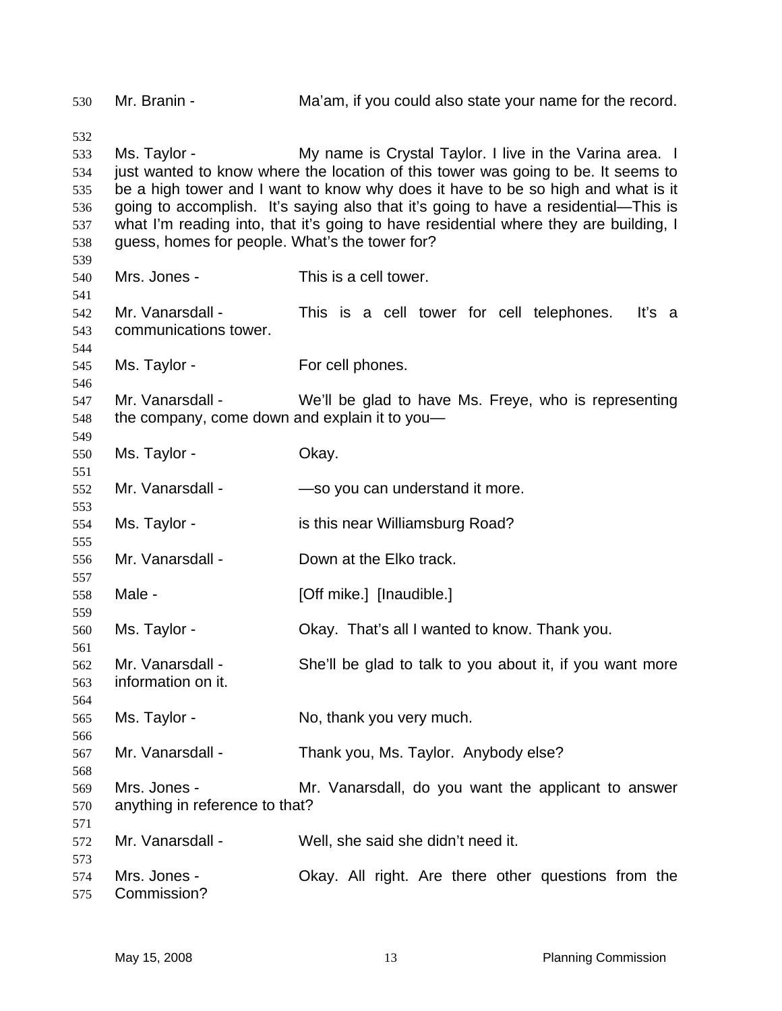Mr. Branin - Ma'am, if you could also state your name for the record. Ms. Taylor - My name is Crystal Taylor. I live in the Varina area. I just wanted to know where the location of this tower was going to be. It seems to be a high tower and I want to know why does it have to be so high and what is it going to accomplish. It's saying also that it's going to have a residential—This is what I'm reading into, that it's going to have residential where they are building, I guess, homes for people. What's the tower for? Mrs. Jones - This is a cell tower. Mr. Vanarsdall - This is a cell tower for cell telephones. It's a communications tower. Ms. Taylor - For cell phones. Mr. Vanarsdall - We'll be glad to have Ms. Freye, who is representing the company, come down and explain it to you— Ms. Taylor - Chay. Mr. Vanarsdall - — — — so you can understand it more. Ms. Taylor - is this near Williamsburg Road? Mr. Vanarsdall - Down at the Elko track. Male - [Off mike.] [Inaudible.] Ms. Taylor - Okay. That's all I wanted to know. Thank you. Mr. Vanarsdall - She'll be glad to talk to you about it, if you want more information on it. Ms. Taylor - No, thank you very much. Mr. Vanarsdall - Thank you, Ms. Taylor. Anybody else? Mrs. Jones - Mr. Vanarsdall, do you want the applicant to answer anything in reference to that? Mr. Vanarsdall - Well, she said she didn't need it. Mrs. Jones - Chay. All right. Are there other questions from the Commission?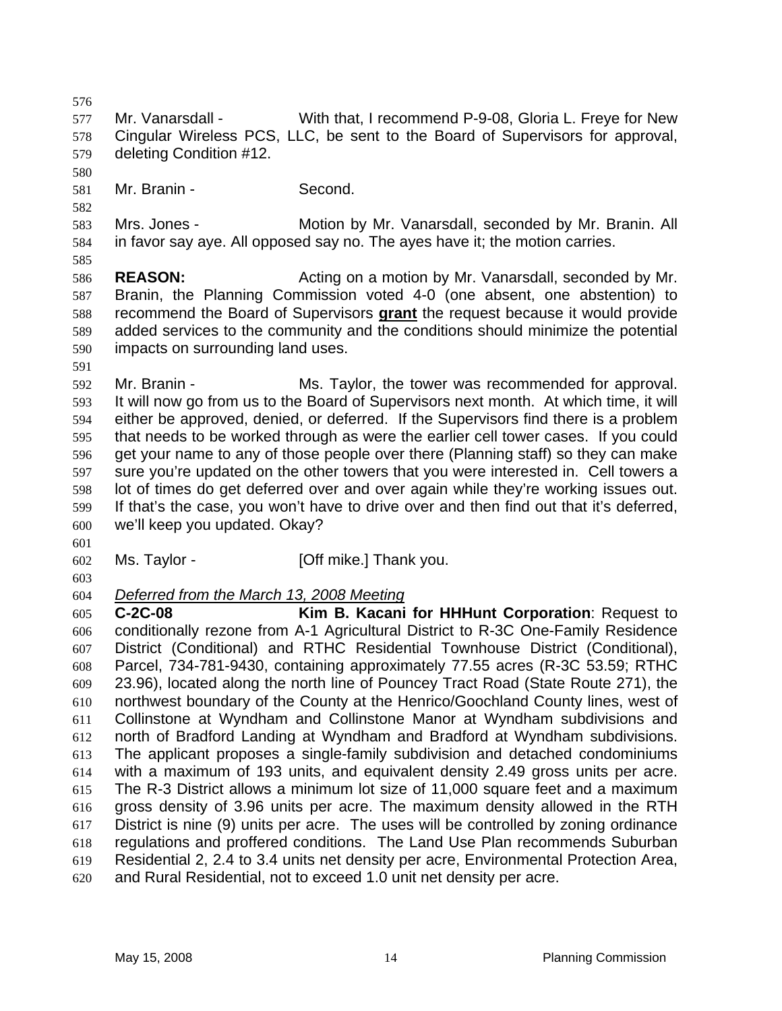576 577 578 579 580 581 582 583 584 585 586 587 Mr. Vanarsdall - With that, I recommend P-9-08, Gloria L. Freye for New Cingular Wireless PCS, LLC, be sent to the Board of Supervisors for approval, deleting Condition #12. Mr. Branin - Second. Mrs. Jones - **Motion by Mr. Vanarsdall, seconded by Mr. Branin. All** in favor say aye. All opposed say no. The ayes have it; the motion carries. **REASON:** Acting on a motion by Mr. Vanarsdall, seconded by Mr. Branin, the Planning Commission voted 4-0 (one absent, one abstention) to recommend the Board of Supervisors **grant** the request because it would provide added services to the community and the conditions should minimize the potential impacts on surrounding land uses. 588 589 590 591 592 593 594 595 596 597 598 599 600 601 602 603 Mr. Branin - Ms. Taylor, the tower was recommended for approval. It will now go from us to the Board of Supervisors next month. At which time, it will either be approved, denied, or deferred. If the Supervisors find there is a problem that needs to be worked through as were the earlier cell tower cases. If you could get your name to any of those people over there (Planning staff) so they can make sure you're updated on the other towers that you were interested in. Cell towers a lot of times do get deferred over and over again while they're working issues out. If that's the case, you won't have to drive over and then find out that it's deferred, we'll keep you updated. Okay? Ms. Taylor - **[Off mike.]** Thank you. 604 *Deferred from the March 13, 2008 Meeting* 605 606 607 608 609 610 611 612 613 614 615 616 617 618 619 620 **C-2C-08 Kim B. Kacani for HHHunt Corporation**: Request to conditionally rezone from A-1 Agricultural District to R-3C One-Family Residence District (Conditional) and RTHC Residential Townhouse District (Conditional), Parcel, 734-781-9430, containing approximately 77.55 acres (R-3C 53.59; RTHC 23.96), located along the north line of Pouncey Tract Road (State Route 271), the northwest boundary of the County at the Henrico/Goochland County lines, west of Collinstone at Wyndham and Collinstone Manor at Wyndham subdivisions and north of Bradford Landing at Wyndham and Bradford at Wyndham subdivisions. The applicant proposes a single-family subdivision and detached condominiums with a maximum of 193 units, and equivalent density 2.49 gross units per acre. The R-3 District allows a minimum lot size of 11,000 square feet and a maximum gross density of 3.96 units per acre. The maximum density allowed in the RTH District is nine (9) units per acre. The uses will be controlled by zoning ordinance regulations and proffered conditions. The Land Use Plan recommends Suburban Residential 2, 2.4 to 3.4 units net density per acre, Environmental Protection Area, and Rural Residential, not to exceed 1.0 unit net density per acre.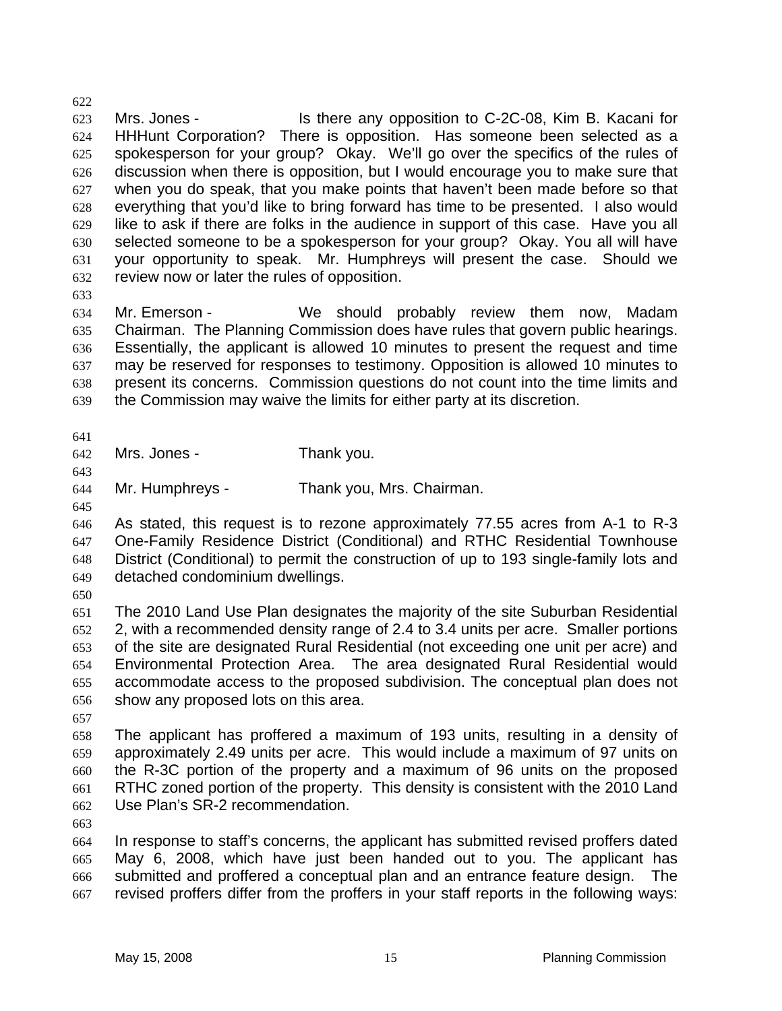623 624 625 626 627 628 629 630 631 632 Mrs. Jones - Is there any opposition to C-2C-08, Kim B. Kacani for HHHunt Corporation? There is opposition. Has someone been selected as a spokesperson for your group? Okay. We'll go over the specifics of the rules of discussion when there is opposition, but I would encourage you to make sure that when you do speak, that you make points that haven't been made before so that everything that you'd like to bring forward has time to be presented. I also would like to ask if there are folks in the audience in support of this case. Have you all selected someone to be a spokesperson for your group? Okay. You all will have your opportunity to speak. Mr. Humphreys will present the case. Should we review now or later the rules of opposition.

633

622

634 635 636 637 638 639 Mr. Emerson - We should probably review them now, Madam Chairman. The Planning Commission does have rules that govern public hearings. Essentially, the applicant is allowed 10 minutes to present the request and time may be reserved for responses to testimony. Opposition is allowed 10 minutes to present its concerns. Commission questions do not count into the time limits and the Commission may waive the limits for either party at its discretion.

641

642 Mrs. Jones - Thank you.

643

644 Mr. Humphreys - Thank you, Mrs. Chairman.

645

646 647 648 649 As stated, this request is to rezone approximately 77.55 acres from A-1 to R-3 One-Family Residence District (Conditional) and RTHC Residential Townhouse District (Conditional) to permit the construction of up to 193 single-family lots and detached condominium dwellings.

650

651 652 653 654 655 656 The 2010 Land Use Plan designates the majority of the site Suburban Residential 2, with a recommended density range of 2.4 to 3.4 units per acre. Smaller portions of the site are designated Rural Residential (not exceeding one unit per acre) and Environmental Protection Area. The area designated Rural Residential would accommodate access to the proposed subdivision. The conceptual plan does not show any proposed lots on this area.

657

658 659 660 661 662 The applicant has proffered a maximum of 193 units, resulting in a density of approximately 2.49 units per acre. This would include a maximum of 97 units on the R-3C portion of the property and a maximum of 96 units on the proposed RTHC zoned portion of the property. This density is consistent with the 2010 Land Use Plan's SR-2 recommendation.

663

664 665 666 667 In response to staff's concerns, the applicant has submitted revised proffers dated May 6, 2008, which have just been handed out to you. The applicant has submitted and proffered a conceptual plan and an entrance feature design. The revised proffers differ from the proffers in your staff reports in the following ways: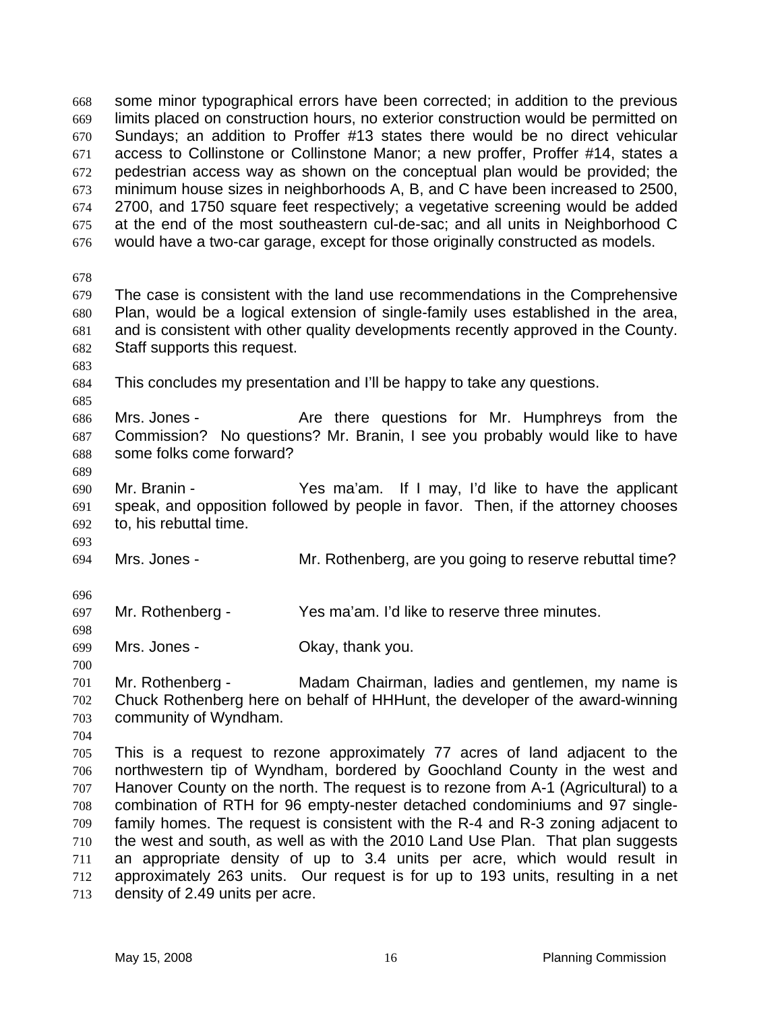some minor typographical errors have been corrected; in addition to the previous limits placed on construction hours, no exterior construction would be permitted on Sundays; an addition to Proffer #13 states there would be no direct vehicular access to Collinstone or Collinstone Manor; a new proffer, Proffer #14, states a pedestrian access way as shown on the conceptual plan would be provided; the minimum house sizes in neighborhoods A, B, and C have been increased to 2500, 2700, and 1750 square feet respectively; a vegetative screening would be added at the end of the most southeastern cul-de-sac; and all units in Neighborhood C would have a two-car garage, except for those originally constructed as models. 668 669 670 671 672 673 674 675 676 678 679 680 681 682 683 684 685 686 687 688 689 690 691 692 693 694 696 697 698 699 700 701 702 703 704 705 706 707 708 709 710 711 712 713 The case is consistent with the land use recommendations in the Comprehensive Plan, would be a logical extension of single-family uses established in the area, and is consistent with other quality developments recently approved in the County. Staff supports this request. This concludes my presentation and I'll be happy to take any questions. Mrs. Jones - The Are there questions for Mr. Humphreys from the Commission? No questions? Mr. Branin, I see you probably would like to have some folks come forward? Mr. Branin - Yes ma'am. If I may, I'd like to have the applicant speak, and opposition followed by people in favor. Then, if the attorney chooses to, his rebuttal time. Mrs. Jones - **Mr. Rothenberg, are you going to reserve rebuttal time?** Mr. Rothenberg - Yes ma'am. I'd like to reserve three minutes. Mrs. Jones - Ckay, thank you. Mr. Rothenberg - Madam Chairman, ladies and gentlemen, my name is Chuck Rothenberg here on behalf of HHHunt, the developer of the award-winning community of Wyndham. This is a request to rezone approximately 77 acres of land adjacent to the northwestern tip of Wyndham, bordered by Goochland County in the west and Hanover County on the north. The request is to rezone from A-1 (Agricultural) to a combination of RTH for 96 empty-nester detached condominiums and 97 singlefamily homes. The request is consistent with the R-4 and R-3 zoning adjacent to the west and south, as well as with the 2010 Land Use Plan. That plan suggests an appropriate density of up to 3.4 units per acre, which would result in approximately 263 units. Our request is for up to 193 units, resulting in a net density of 2.49 units per acre.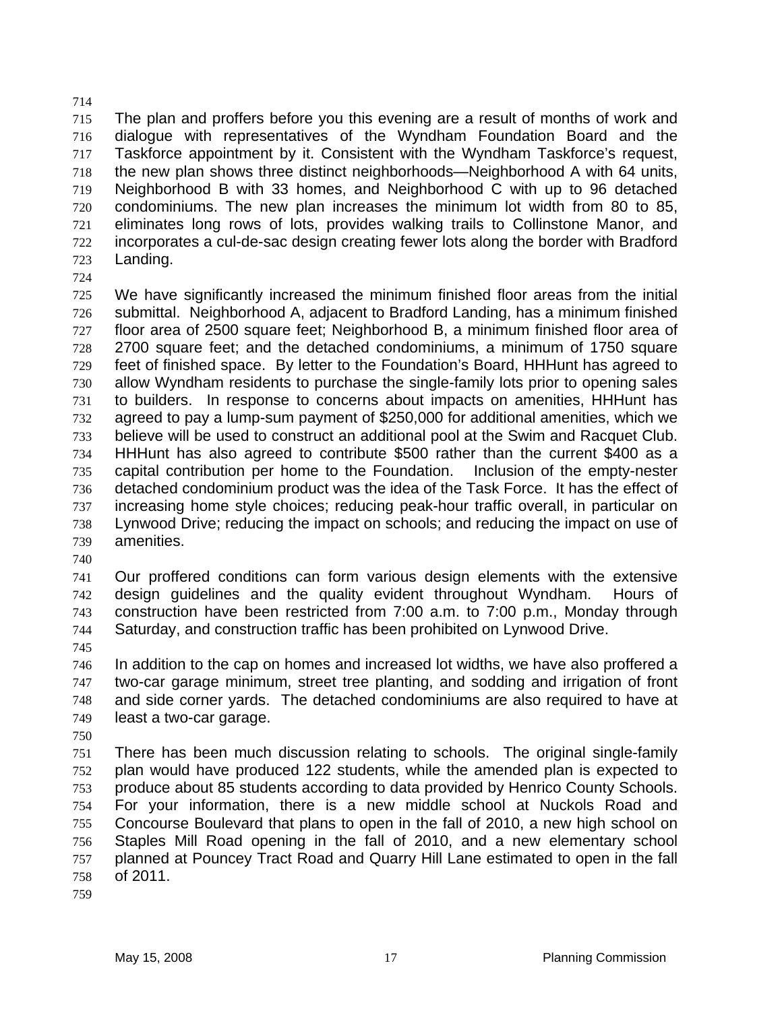715 716 717 718 719 720 721 722 723 The plan and proffers before you this evening are a result of months of work and dialogue with representatives of the Wyndham Foundation Board and the Taskforce appointment by it. Consistent with the Wyndham Taskforce's request, the new plan shows three distinct neighborhoods—Neighborhood A with 64 units, Neighborhood B with 33 homes, and Neighborhood C with up to 96 detached condominiums. The new plan increases the minimum lot width from 80 to 85, eliminates long rows of lots, provides walking trails to Collinstone Manor, and incorporates a cul-de-sac design creating fewer lots along the border with Bradford Landing.

724

714

725 726 727 728 729 730 731 732 733 734 735 736 737 738 739 We have significantly increased the minimum finished floor areas from the initial submittal. Neighborhood A, adjacent to Bradford Landing, has a minimum finished floor area of 2500 square feet; Neighborhood B, a minimum finished floor area of 2700 square feet; and the detached condominiums, a minimum of 1750 square feet of finished space. By letter to the Foundation's Board, HHHunt has agreed to allow Wyndham residents to purchase the single-family lots prior to opening sales to builders. In response to concerns about impacts on amenities, HHHunt has agreed to pay a lump-sum payment of \$250,000 for additional amenities, which we believe will be used to construct an additional pool at the Swim and Racquet Club. HHHunt has also agreed to contribute \$500 rather than the current \$400 as a capital contribution per home to the Foundation. Inclusion of the empty-nester detached condominium product was the idea of the Task Force. It has the effect of increasing home style choices; reducing peak-hour traffic overall, in particular on Lynwood Drive; reducing the impact on schools; and reducing the impact on use of amenities.

740

741 742 743 744 Our proffered conditions can form various design elements with the extensive design guidelines and the quality evident throughout Wyndham. Hours of construction have been restricted from 7:00 a.m. to 7:00 p.m., Monday through Saturday, and construction traffic has been prohibited on Lynwood Drive.

745

746 747 748 749 In addition to the cap on homes and increased lot widths, we have also proffered a two-car garage minimum, street tree planting, and sodding and irrigation of front and side corner yards. The detached condominiums are also required to have at least a two-car garage.

750

751 752 753 754 755 756 757 758 There has been much discussion relating to schools. The original single-family plan would have produced 122 students, while the amended plan is expected to produce about 85 students according to data provided by Henrico County Schools. For your information, there is a new middle school at Nuckols Road and Concourse Boulevard that plans to open in the fall of 2010, a new high school on Staples Mill Road opening in the fall of 2010, and a new elementary school planned at Pouncey Tract Road and Quarry Hill Lane estimated to open in the fall of 2011.

759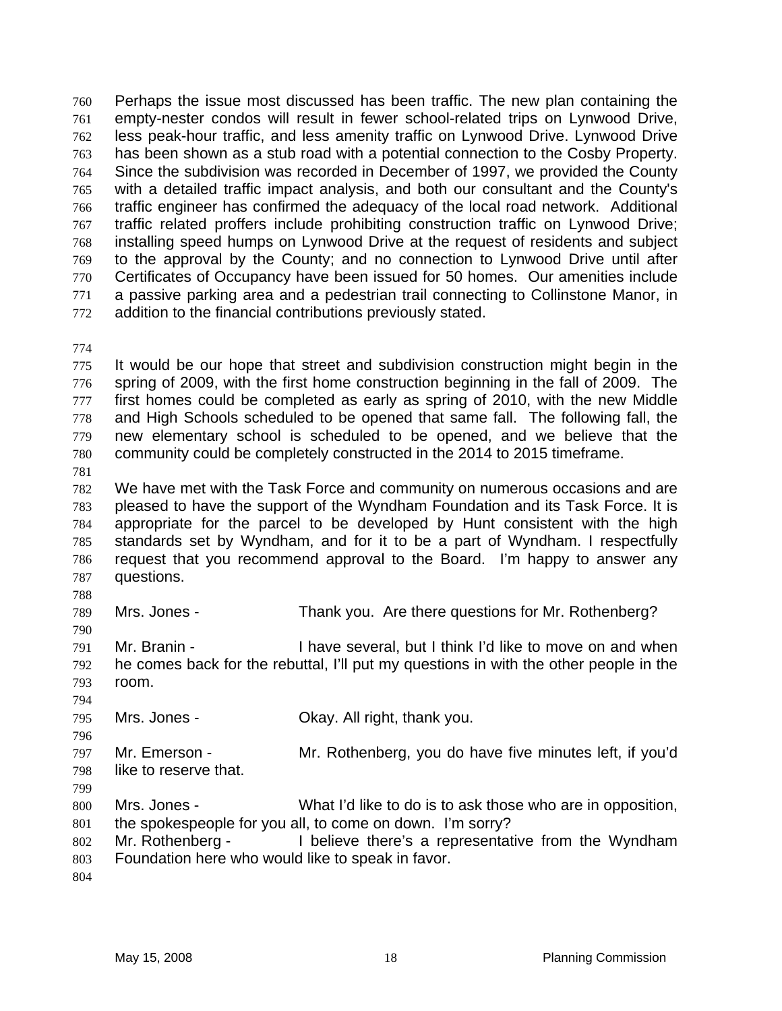Perhaps the issue most discussed has been traffic. The new plan containing the empty-nester condos will result in fewer school-related trips on Lynwood Drive, less peak-hour traffic, and less amenity traffic on Lynwood Drive. Lynwood Drive has been shown as a stub road with a potential connection to the Cosby Property. Since the subdivision was recorded in December of 1997, we provided the County with a detailed traffic impact analysis, and both our consultant and the County's traffic engineer has confirmed the adequacy of the local road network. Additional traffic related proffers include prohibiting construction traffic on Lynwood Drive; installing speed humps on Lynwood Drive at the request of residents and subject to the approval by the County; and no connection to Lynwood Drive until after Certificates of Occupancy have been issued for 50 homes. Our amenities include a passive parking area and a pedestrian trail connecting to Collinstone Manor, in addition to the financial contributions previously stated. 760 761 762 763 764 765 766 767 768 769 770 771 772

774

775 776 777 778 779 780 It would be our hope that street and subdivision construction might begin in the spring of 2009, with the first home construction beginning in the fall of 2009. The first homes could be completed as early as spring of 2010, with the new Middle and High Schools scheduled to be opened that same fall. The following fall, the new elementary school is scheduled to be opened, and we believe that the community could be completely constructed in the 2014 to 2015 timeframe.

781

782 783 784 785 786 787 We have met with the Task Force and community on numerous occasions and are pleased to have the support of the Wyndham Foundation and its Task Force. It is appropriate for the parcel to be developed by Hunt consistent with the high standards set by Wyndham, and for it to be a part of Wyndham. I respectfully request that you recommend approval to the Board. I'm happy to answer any questions.

788

790

794

796

789 Mrs. Jones - Thank you. Are there questions for Mr. Rothenberg?

791 792 793 Mr. Branin - I have several, but I think I'd like to move on and when he comes back for the rebuttal, I'll put my questions in with the other people in the room.

795 Mrs. Jones - Ckay. All right, thank you.

797 798 Mr. Emerson - Mr. Rothenberg, you do have five minutes left, if you'd like to reserve that.

799

800 801 Mrs. Jones - What I'd like to do is to ask those who are in opposition, the spokespeople for you all, to come on down. I'm sorry?

- 802 803 Mr. Rothenberg - I believe there's a representative from the Wyndham Foundation here who would like to speak in favor.
- 804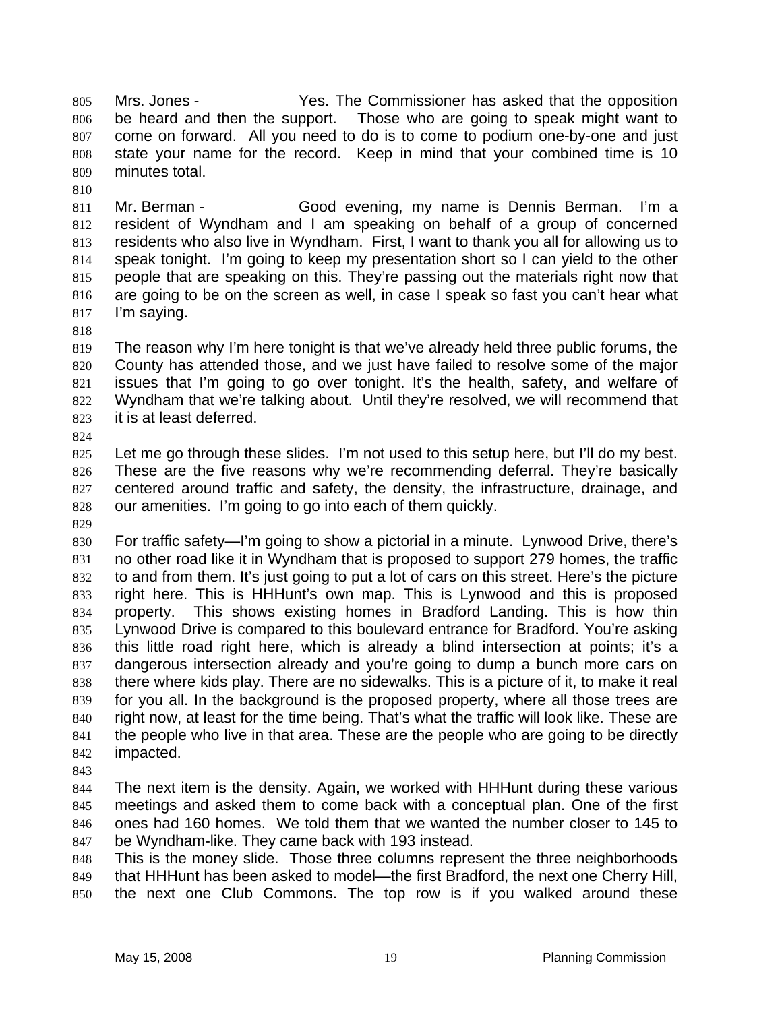Mrs. Jones - The Commissioner has asked that the opposition be heard and then the support. Those who are going to speak might want to come on forward. All you need to do is to come to podium one-by-one and just state your name for the record. Keep in mind that your combined time is 10 minutes total. 805 806 807 808 809

811 812 813 814 815 816 817 Mr. Berman - Good evening, my name is Dennis Berman. I'm a resident of Wyndham and I am speaking on behalf of a group of concerned residents who also live in Wyndham. First, I want to thank you all for allowing us to speak tonight. I'm going to keep my presentation short so I can yield to the other people that are speaking on this. They're passing out the materials right now that are going to be on the screen as well, in case I speak so fast you can't hear what I'm saying.

818

810

819 820 821 822 823 The reason why I'm here tonight is that we've already held three public forums, the County has attended those, and we just have failed to resolve some of the major issues that I'm going to go over tonight. It's the health, safety, and welfare of Wyndham that we're talking about. Until they're resolved, we will recommend that it is at least deferred.

824

825 826 827 828 Let me go through these slides. I'm not used to this setup here, but I'll do my best. These are the five reasons why we're recommending deferral. They're basically centered around traffic and safety, the density, the infrastructure, drainage, and our amenities. I'm going to go into each of them quickly.

829

830 831 832 833 834 835 836 837 838 839 840 841 842 For traffic safety—I'm going to show a pictorial in a minute. Lynwood Drive, there's no other road like it in Wyndham that is proposed to support 279 homes, the traffic to and from them. It's just going to put a lot of cars on this street. Here's the picture right here. This is HHHunt's own map. This is Lynwood and this is proposed property. This shows existing homes in Bradford Landing. This is how thin Lynwood Drive is compared to this boulevard entrance for Bradford. You're asking this little road right here, which is already a blind intersection at points; it's a dangerous intersection already and you're going to dump a bunch more cars on there where kids play. There are no sidewalks. This is a picture of it, to make it real for you all. In the background is the proposed property, where all those trees are right now, at least for the time being. That's what the traffic will look like. These are the people who live in that area. These are the people who are going to be directly impacted.

843

844 845 846 847 The next item is the density. Again, we worked with HHHunt during these various meetings and asked them to come back with a conceptual plan. One of the first ones had 160 homes. We told them that we wanted the number closer to 145 to be Wyndham-like. They came back with 193 instead.

848 849 850 This is the money slide. Those three columns represent the three neighborhoods that HHHunt has been asked to model—the first Bradford, the next one Cherry Hill, the next one Club Commons. The top row is if you walked around these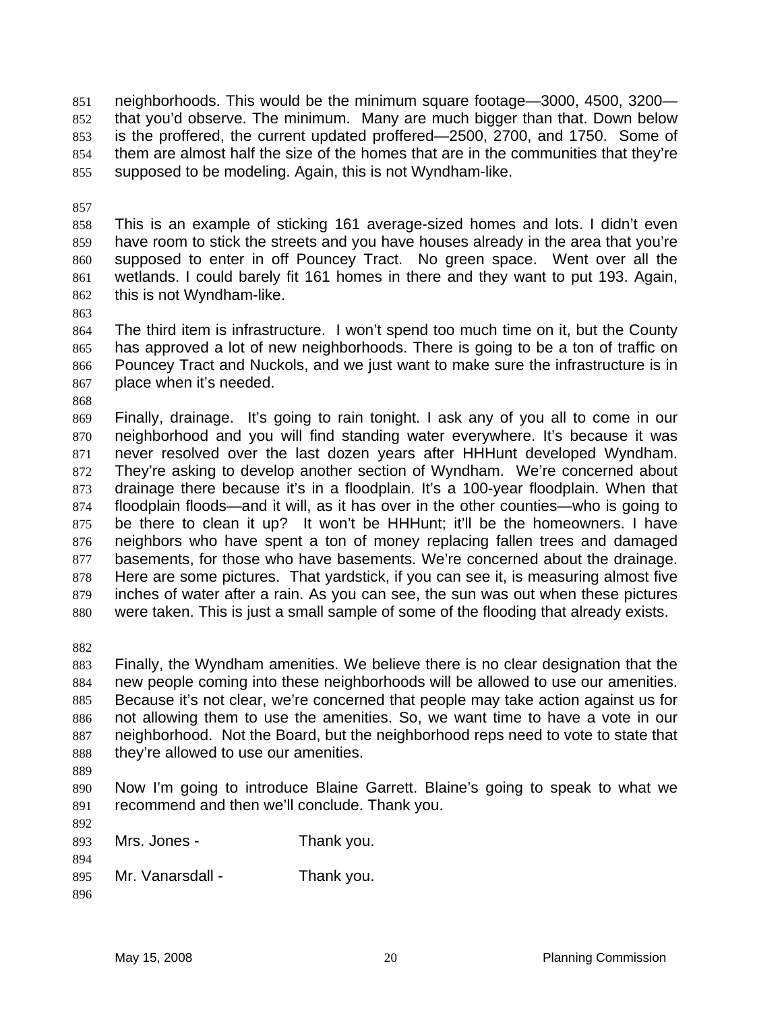neighborhoods. This would be the minimum square footage—3000, 4500, 3200 that you'd observe. The minimum. Many are much bigger than that. Down below is the proffered, the current updated proffered—2500, 2700, and 1750. Some of them are almost half the size of the homes that are in the communities that they're supposed to be modeling. Again, this is not Wyndham-like. 851 852 853 854 855

857

858 859 860 861 862 This is an example of sticking 161 average-sized homes and lots. I didn't even have room to stick the streets and you have houses already in the area that you're supposed to enter in off Pouncey Tract. No green space. Went over all the wetlands. I could barely fit 161 homes in there and they want to put 193. Again, this is not Wyndham-like.

863

864 865 866 867 The third item is infrastructure. I won't spend too much time on it, but the County has approved a lot of new neighborhoods. There is going to be a ton of traffic on Pouncey Tract and Nuckols, and we just want to make sure the infrastructure is in place when it's needed.

868

869 870 871 872 873 874 875 876 877 878 879 880 Finally, drainage. It's going to rain tonight. I ask any of you all to come in our neighborhood and you will find standing water everywhere. It's because it was never resolved over the last dozen years after HHHunt developed Wyndham. They're asking to develop another section of Wyndham. We're concerned about drainage there because it's in a floodplain. It's a 100-year floodplain. When that floodplain floods—and it will, as it has over in the other counties—who is going to be there to clean it up? It won't be HHHunt; it'll be the homeowners. I have neighbors who have spent a ton of money replacing fallen trees and damaged basements, for those who have basements. We're concerned about the drainage. Here are some pictures. That yardstick, if you can see it, is measuring almost five inches of water after a rain. As you can see, the sun was out when these pictures were taken. This is just a small sample of some of the flooding that already exists.

882

883 884 885 886 887 888 Finally, the Wyndham amenities. We believe there is no clear designation that the new people coming into these neighborhoods will be allowed to use our amenities. Because it's not clear, we're concerned that people may take action against us for not allowing them to use the amenities. So, we want time to have a vote in our neighborhood. Not the Board, but the neighborhood reps need to vote to state that they're allowed to use our amenities.

889

892

894

890 891 Now I'm going to introduce Blaine Garrett. Blaine's going to speak to what we recommend and then we'll conclude. Thank you.

893 Mrs. Jones - Thank you.

| 895 | Mr. Vanarsdall - | Thank you. |
|-----|------------------|------------|
|     |                  |            |

896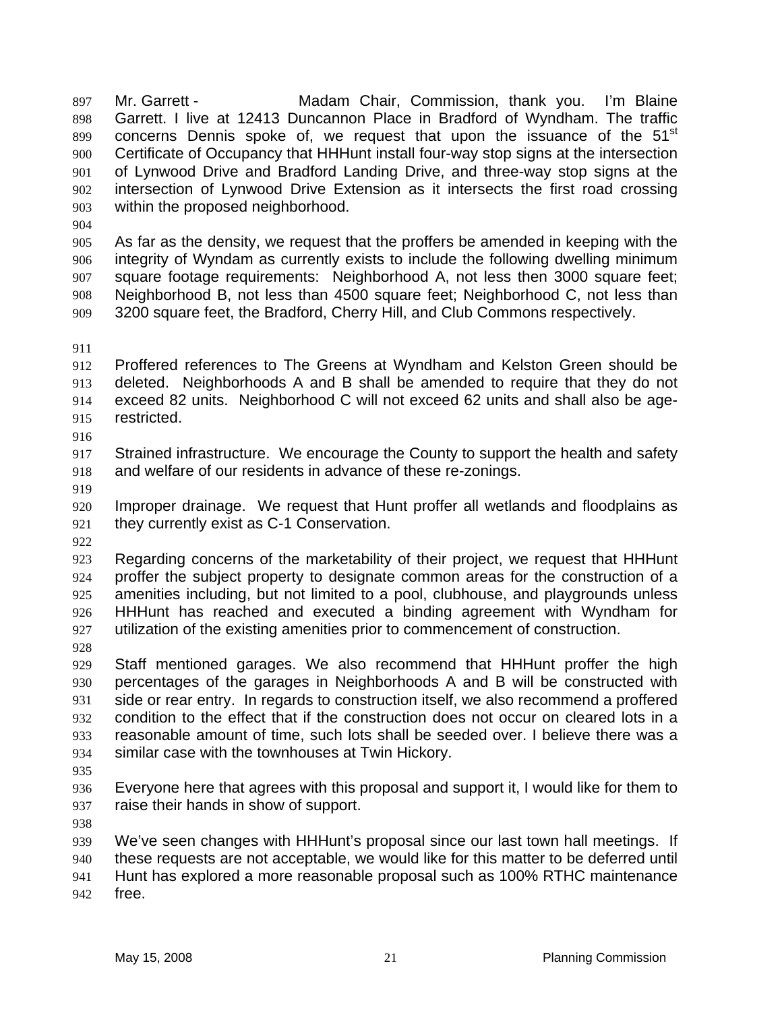Mr. Garrett - **Madam Chair, Commission, thank you.** I'm Blaine Garrett. I live at 12413 Duncannon Place in Bradford of Wyndham. The traffic concerns Dennis spoke of, we request that upon the issuance of the 51<sup>st</sup> Certificate of Occupancy that HHHunt install four-way stop signs at the intersection of Lynwood Drive and Bradford Landing Drive, and three-way stop signs at the intersection of Lynwood Drive Extension as it intersects the first road crossing within the proposed neighborhood. 897 898 899 900 901 902 903

904

905 906 907 908 909 As far as the density, we request that the proffers be amended in keeping with the integrity of Wyndam as currently exists to include the following dwelling minimum square footage requirements: Neighborhood A, not less then 3000 square feet; Neighborhood B, not less than 4500 square feet; Neighborhood C, not less than 3200 square feet, the Bradford, Cherry Hill, and Club Commons respectively.

911

912 913 914 915 916 Proffered references to The Greens at Wyndham and Kelston Green should be deleted. Neighborhoods A and B shall be amended to require that they do not exceed 82 units. Neighborhood C will not exceed 62 units and shall also be agerestricted.

917 918 Strained infrastructure. We encourage the County to support the health and safety and welfare of our residents in advance of these re-zonings.

919

920 921 Improper drainage. We request that Hunt proffer all wetlands and floodplains as they currently exist as C-1 Conservation.

922

923 924 925 926 927 Regarding concerns of the marketability of their project, we request that HHHunt proffer the subject property to designate common areas for the construction of a amenities including, but not limited to a pool, clubhouse, and playgrounds unless HHHunt has reached and executed a binding agreement with Wyndham for utilization of the existing amenities prior to commencement of construction.

928

929 930 931 932 933 934 Staff mentioned garages. We also recommend that HHHunt proffer the high percentages of the garages in Neighborhoods A and B will be constructed with side or rear entry. In regards to construction itself, we also recommend a proffered condition to the effect that if the construction does not occur on cleared lots in a reasonable amount of time, such lots shall be seeded over. I believe there was a similar case with the townhouses at Twin Hickory.

935

936 937 Everyone here that agrees with this proposal and support it, I would like for them to raise their hands in show of support.

938

939 940 941 942 We've seen changes with HHHunt's proposal since our last town hall meetings. If these requests are not acceptable, we would like for this matter to be deferred until Hunt has explored a more reasonable proposal such as 100% RTHC maintenance free.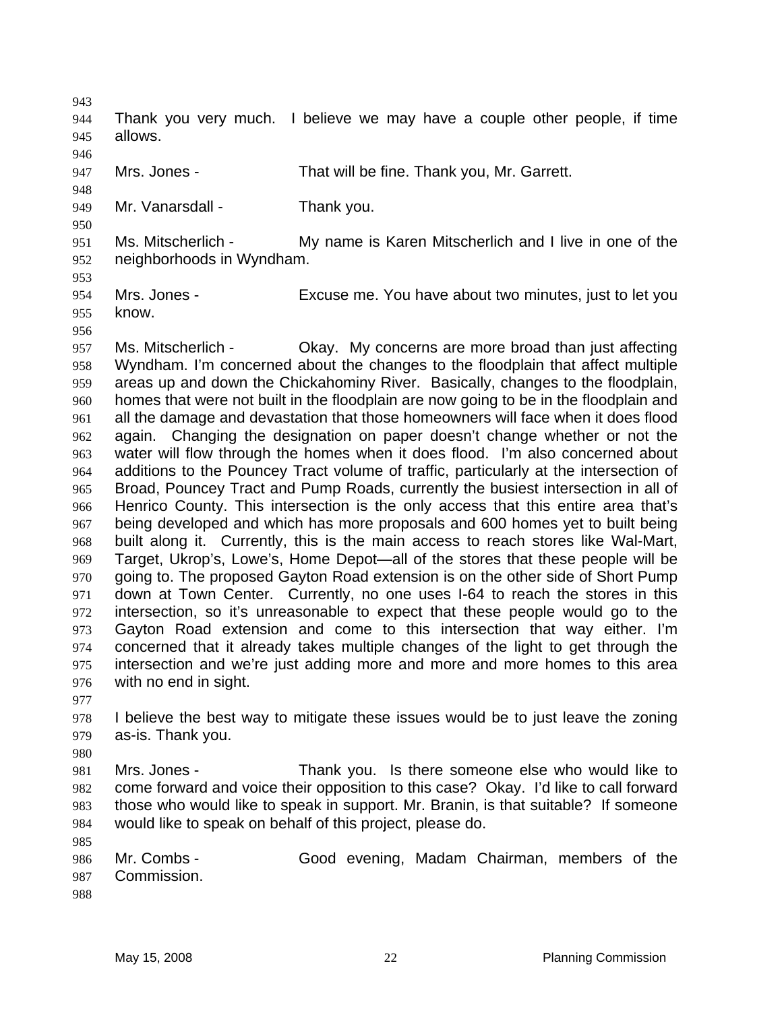| 944<br>945<br>946 | allows.                                                                           | Thank you very much. I believe we may have a couple other people, if time                                                                                                |
|-------------------|-----------------------------------------------------------------------------------|--------------------------------------------------------------------------------------------------------------------------------------------------------------------------|
| 947               | Mrs. Jones -                                                                      | That will be fine. Thank you, Mr. Garrett.                                                                                                                               |
| 948               |                                                                                   |                                                                                                                                                                          |
| 949               | Mr. Vanarsdall -                                                                  | Thank you.                                                                                                                                                               |
| 950               |                                                                                   |                                                                                                                                                                          |
| 951               | Ms. Mitscherlich -                                                                | My name is Karen Mitscherlich and I live in one of the                                                                                                                   |
| 952               | neighborhoods in Wyndham.                                                         |                                                                                                                                                                          |
| 953               |                                                                                   |                                                                                                                                                                          |
| 954               | Mrs. Jones -                                                                      | Excuse me. You have about two minutes, just to let you                                                                                                                   |
| 955               | know.                                                                             |                                                                                                                                                                          |
| 956               |                                                                                   |                                                                                                                                                                          |
| 957               | Ms. Mitscherlich -                                                                | Okay. My concerns are more broad than just affecting                                                                                                                     |
| 958               |                                                                                   | Wyndham. I'm concerned about the changes to the floodplain that affect multiple                                                                                          |
| 959               |                                                                                   | areas up and down the Chickahominy River. Basically, changes to the floodplain,<br>homes that were not built in the floodplain are now going to be in the floodplain and |
| 960<br>961        |                                                                                   | all the damage and devastation that those homeowners will face when it does flood                                                                                        |
| 962               |                                                                                   | again. Changing the designation on paper doesn't change whether or not the                                                                                               |
| 963               |                                                                                   | water will flow through the homes when it does flood. I'm also concerned about                                                                                           |
| 964               |                                                                                   | additions to the Pouncey Tract volume of traffic, particularly at the intersection of                                                                                    |
| 965               | Broad, Pouncey Tract and Pump Roads, currently the busiest intersection in all of |                                                                                                                                                                          |
| 966               |                                                                                   | Henrico County. This intersection is the only access that this entire area that's                                                                                        |
| 967               |                                                                                   | being developed and which has more proposals and 600 homes yet to built being                                                                                            |
| 968               |                                                                                   | built along it. Currently, this is the main access to reach stores like Wal-Mart,                                                                                        |
| 969               |                                                                                   | Target, Ukrop's, Lowe's, Home Depot—all of the stores that these people will be                                                                                          |
| 970               |                                                                                   | going to. The proposed Gayton Road extension is on the other side of Short Pump                                                                                          |
| 971               |                                                                                   | down at Town Center. Currently, no one uses I-64 to reach the stores in this                                                                                             |
| 972               |                                                                                   | intersection, so it's unreasonable to expect that these people would go to the                                                                                           |
| 973               |                                                                                   | Gayton Road extension and come to this intersection that way either. I'm                                                                                                 |
| 974               |                                                                                   | concerned that it already takes multiple changes of the light to get through the                                                                                         |

976 977

975

943

978 979 I believe the best way to mitigate these issues would be to just leave the zoning as-is. Thank you.

intersection and we're just adding more and more and more homes to this area

980

981 982 983 984 Mrs. Jones - Thank you. Is there someone else who would like to come forward and voice their opposition to this case? Okay. I'd like to call forward those who would like to speak in support. Mr. Branin, is that suitable? If someone would like to speak on behalf of this project, please do.

986 987 Mr. Combs - Good evening, Madam Chairman, members of the Commission.

988

985

with no end in sight.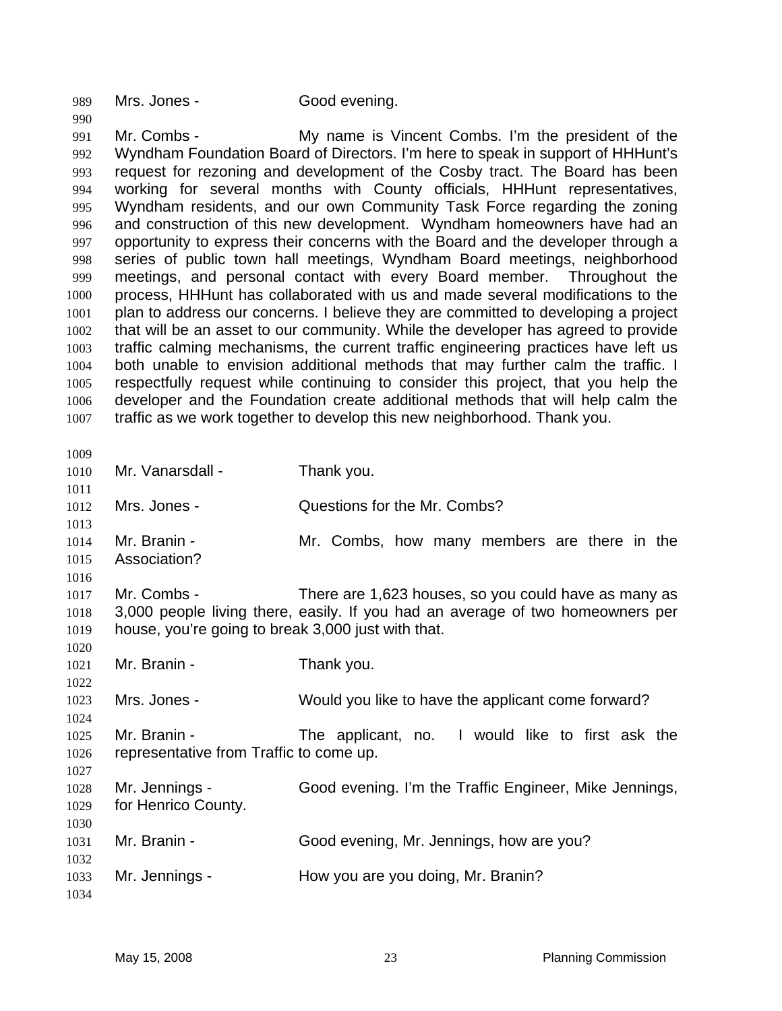989 Mrs. Jones - Good evening.

991 992 993 994 995 996 997 998 999 1000 1001 1002 1003 1004 1005 1006 1007 Mr. Combs - My name is Vincent Combs. I'm the president of the Wyndham Foundation Board of Directors. I'm here to speak in support of HHHunt's request for rezoning and development of the Cosby tract. The Board has been working for several months with County officials, HHHunt representatives, Wyndham residents, and our own Community Task Force regarding the zoning and construction of this new development. Wyndham homeowners have had an opportunity to express their concerns with the Board and the developer through a series of public town hall meetings, Wyndham Board meetings, neighborhood meetings, and personal contact with every Board member. Throughout the process, HHHunt has collaborated with us and made several modifications to the plan to address our concerns. I believe they are committed to developing a project that will be an asset to our community. While the developer has agreed to provide traffic calming mechanisms, the current traffic engineering practices have left us both unable to envision additional methods that may further calm the traffic. I respectfully request while continuing to consider this project, that you help the developer and the Foundation create additional methods that will help calm the traffic as we work together to develop this new neighborhood. Thank you.

1009

990

| ょいいノ         |                                                    |                                                                                |
|--------------|----------------------------------------------------|--------------------------------------------------------------------------------|
| 1010         | Mr. Vanarsdall -                                   | Thank you.                                                                     |
| 1011         |                                                    |                                                                                |
| 1012         | Mrs. Jones -                                       | Questions for the Mr. Combs?                                                   |
| 1013         |                                                    |                                                                                |
| 1014         | Mr. Branin -                                       | Mr. Combs, how many members are there in the                                   |
| 1015         | Association?                                       |                                                                                |
| 1016         |                                                    |                                                                                |
| 1017         | Mr. Combs -                                        | There are 1,623 houses, so you could have as many as                           |
| 1018         |                                                    | 3,000 people living there, easily. If you had an average of two homeowners per |
| 1019         | house, you're going to break 3,000 just with that. |                                                                                |
| 1020         |                                                    |                                                                                |
| 1021         | Mr. Branin -                                       | Thank you.                                                                     |
| 1022         |                                                    |                                                                                |
| 1023         | Mrs. Jones -                                       | Would you like to have the applicant come forward?                             |
| 1024         |                                                    |                                                                                |
| 1025         | Mr. Branin -                                       | The applicant, no. I would like to first ask the                               |
| 1026         | representative from Traffic to come up.            |                                                                                |
| 1027         |                                                    |                                                                                |
| 1028<br>1029 | Mr. Jennings -                                     | Good evening. I'm the Traffic Engineer, Mike Jennings,                         |
| 1030         | for Henrico County.                                |                                                                                |
| 1031         | Mr. Branin -                                       | Good evening, Mr. Jennings, how are you?                                       |
| 1032         |                                                    |                                                                                |
| 1033         | Mr. Jennings -                                     | How you are you doing, Mr. Branin?                                             |
| 1034         |                                                    |                                                                                |
|              |                                                    |                                                                                |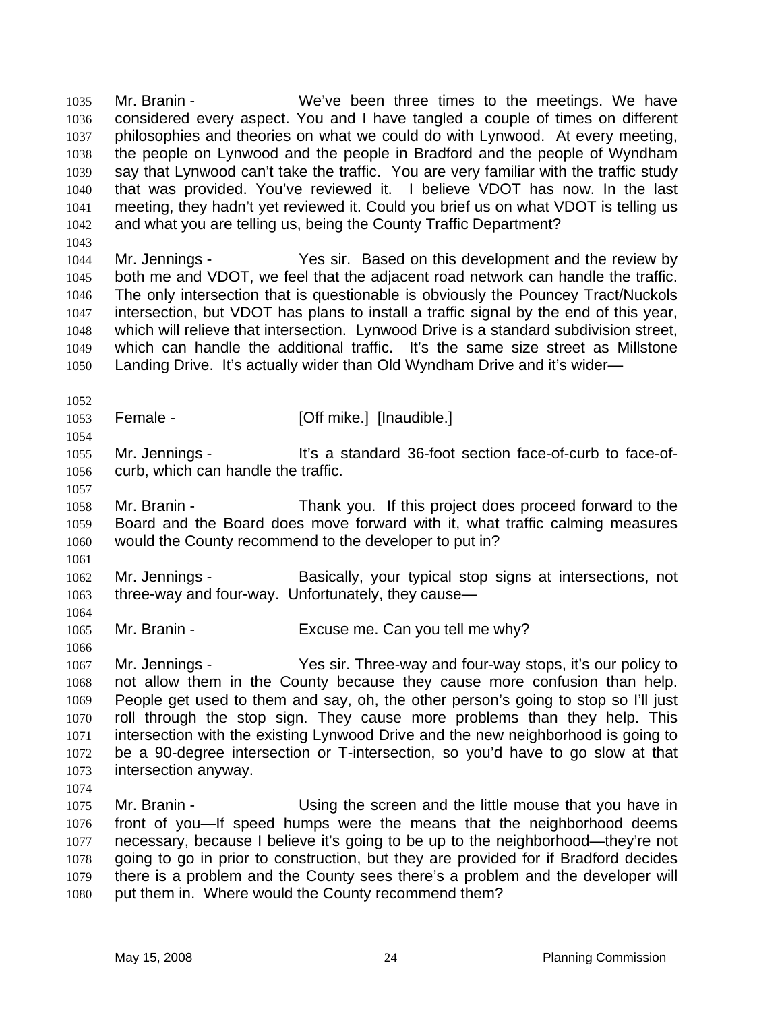Mr. Branin - We've been three times to the meetings. We have considered every aspect. You and I have tangled a couple of times on different philosophies and theories on what we could do with Lynwood. At every meeting, the people on Lynwood and the people in Bradford and the people of Wyndham say that Lynwood can't take the traffic. You are very familiar with the traffic study that was provided. You've reviewed it. I believe VDOT has now. In the last meeting, they hadn't yet reviewed it. Could you brief us on what VDOT is telling us and what you are telling us, being the County Traffic Department? 1035 1036 1037 1038 1039 1040 1041 1042

1043

1044 1045 1046 1047 1048 1049 1050 Mr. Jennings - Yes sir. Based on this development and the review by both me and VDOT, we feel that the adjacent road network can handle the traffic. The only intersection that is questionable is obviously the Pouncey Tract/Nuckols intersection, but VDOT has plans to install a traffic signal by the end of this year, which will relieve that intersection. Lynwood Drive is a standard subdivision street, which can handle the additional traffic. It's the same size street as Millstone Landing Drive. It's actually wider than Old Wyndham Drive and it's wider—

1052 1053

1054

Female - [Off mike.] [Inaudible.]

1055 1056 Mr. Jennings - It's a standard 36-foot section face-of-curb to face-ofcurb, which can handle the traffic.

1057

1058 1059 1060 Mr. Branin - Thank you. If this project does proceed forward to the Board and the Board does move forward with it, what traffic calming measures would the County recommend to the developer to put in?

1061

1064

1066

1062 1063 Mr. Jennings - Basically, your typical stop signs at intersections, not three-way and four-way. Unfortunately, they cause—

1065 Mr. Branin - Excuse me. Can you tell me why?

1067 1068 1069 1070 1071 1072 1073 Mr. Jennings - Yes sir. Three-way and four-way stops, it's our policy to not allow them in the County because they cause more confusion than help. People get used to them and say, oh, the other person's going to stop so I'll just roll through the stop sign. They cause more problems than they help. This intersection with the existing Lynwood Drive and the new neighborhood is going to be a 90-degree intersection or T-intersection, so you'd have to go slow at that intersection anyway.

1074

1075 1076 1077 1078 1079 1080 Mr. Branin - Using the screen and the little mouse that you have in front of you—If speed humps were the means that the neighborhood deems necessary, because I believe it's going to be up to the neighborhood—they're not going to go in prior to construction, but they are provided for if Bradford decides there is a problem and the County sees there's a problem and the developer will put them in. Where would the County recommend them?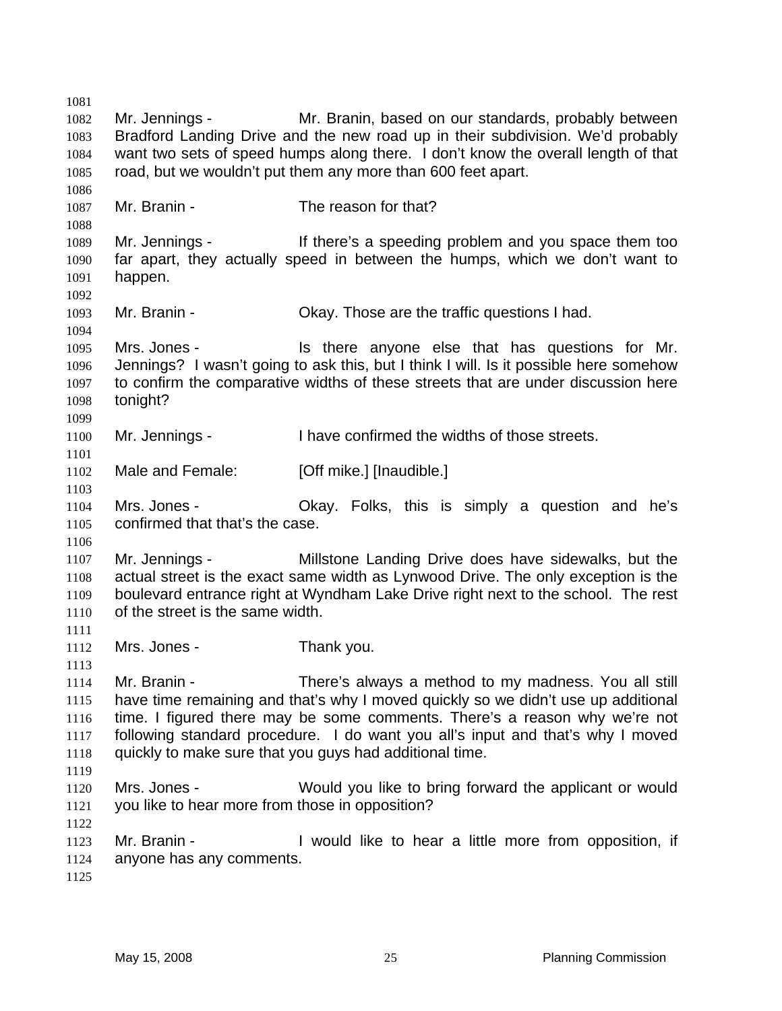1081 1082 1083 1084 1085 1086 1087 1088 1089 1090 1091 1092 1093 1094 1095 1096 1097 1098 1099 1100 1101 1102 1103 1104 1105 1106 1107 1108 1109 1110 1111 1112 1113 1114 1115 1116 1117 1118 1119 1120 1121 1122 1123 1124 1125 Mr. Jennings - The Mr. Branin, based on our standards, probably between Bradford Landing Drive and the new road up in their subdivision. We'd probably want two sets of speed humps along there. I don't know the overall length of that road, but we wouldn't put them any more than 600 feet apart. Mr. Branin - The reason for that? Mr. Jennings - If there's a speeding problem and you space them too far apart, they actually speed in between the humps, which we don't want to happen. Mr. Branin - Okay. Those are the traffic questions I had. Mrs. Jones - Is there anyone else that has questions for Mr. Jennings? I wasn't going to ask this, but I think I will. Is it possible here somehow to confirm the comparative widths of these streets that are under discussion here tonight? Mr. Jennings - I have confirmed the widths of those streets. Male and Female: [Off mike.] [Inaudible.] Mrs. Jones - Chay. Folks, this is simply a question and he's confirmed that that's the case. Mr. Jennings - Millstone Landing Drive does have sidewalks, but the actual street is the exact same width as Lynwood Drive. The only exception is the boulevard entrance right at Wyndham Lake Drive right next to the school. The rest of the street is the same width. Mrs. Jones - Thank you. Mr. Branin - There's always a method to my madness. You all still have time remaining and that's why I moved quickly so we didn't use up additional time. I figured there may be some comments. There's a reason why we're not following standard procedure. I do want you all's input and that's why I moved quickly to make sure that you guys had additional time. Mrs. Jones - Would you like to bring forward the applicant or would you like to hear more from those in opposition? Mr. Branin - The Unit of the like to hear a little more from opposition, if anyone has any comments.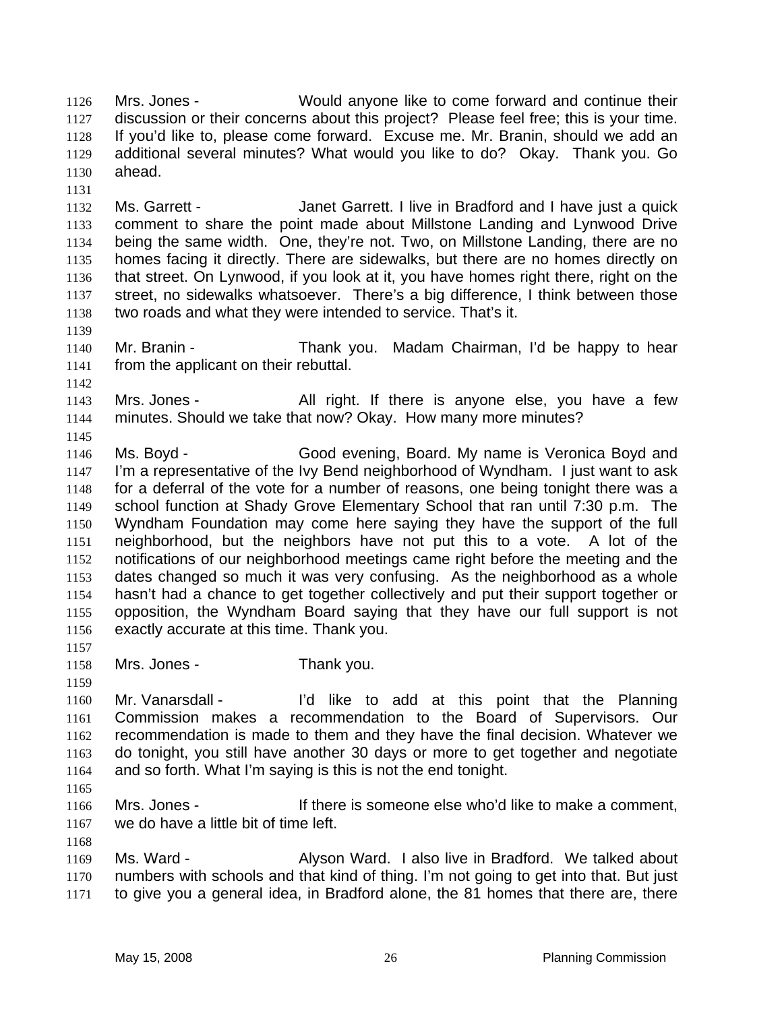Mrs. Jones - Would anyone like to come forward and continue their discussion or their concerns about this project? Please feel free; this is your time. If you'd like to, please come forward. Excuse me. Mr. Branin, should we add an additional several minutes? What would you like to do? Okay. Thank you. Go ahead. 1126 1127 1128 1129 1130

1132 1133 1134 1135 1136 1137 1138 Ms. Garrett - Janet Garrett. I live in Bradford and I have just a quick comment to share the point made about Millstone Landing and Lynwood Drive being the same width. One, they're not. Two, on Millstone Landing, there are no homes facing it directly. There are sidewalks, but there are no homes directly on that street. On Lynwood, if you look at it, you have homes right there, right on the street, no sidewalks whatsoever. There's a big difference, I think between those two roads and what they were intended to service. That's it.

- 1140 1141 Mr. Branin - Thank you. Madam Chairman, I'd be happy to hear from the applicant on their rebuttal.
- 1142 1143 1144 Mrs. Jones - The Mullish Collect is anyone else, you have a few minutes. Should we take that now? Okay. How many more minutes?

1145 1146 1147 1148 1149 1150 1151 1152 1153 1154 1155 1156 Ms. Boyd - Good evening, Board. My name is Veronica Boyd and I'm a representative of the Ivy Bend neighborhood of Wyndham. I just want to ask for a deferral of the vote for a number of reasons, one being tonight there was a school function at Shady Grove Elementary School that ran until 7:30 p.m. The Wyndham Foundation may come here saying they have the support of the full neighborhood, but the neighbors have not put this to a vote. A lot of the notifications of our neighborhood meetings came right before the meeting and the dates changed so much it was very confusing. As the neighborhood as a whole hasn't had a chance to get together collectively and put their support together or opposition, the Wyndham Board saying that they have our full support is not exactly accurate at this time. Thank you.

1157

1159

1131

1139

1158 Mrs. Jones - Thank you.

1160 1161 1162 1163 1164 Mr. Vanarsdall - I'd like to add at this point that the Planning Commission makes a recommendation to the Board of Supervisors. Our recommendation is made to them and they have the final decision. Whatever we do tonight, you still have another 30 days or more to get together and negotiate and so forth. What I'm saying is this is not the end tonight.

1165

1168

1166 1167 Mrs. Jones - If there is someone else who'd like to make a comment, we do have a little bit of time left.

1169 1170 1171 Ms. Ward - Alyson Ward. I also live in Bradford. We talked about numbers with schools and that kind of thing. I'm not going to get into that. But just to give you a general idea, in Bradford alone, the 81 homes that there are, there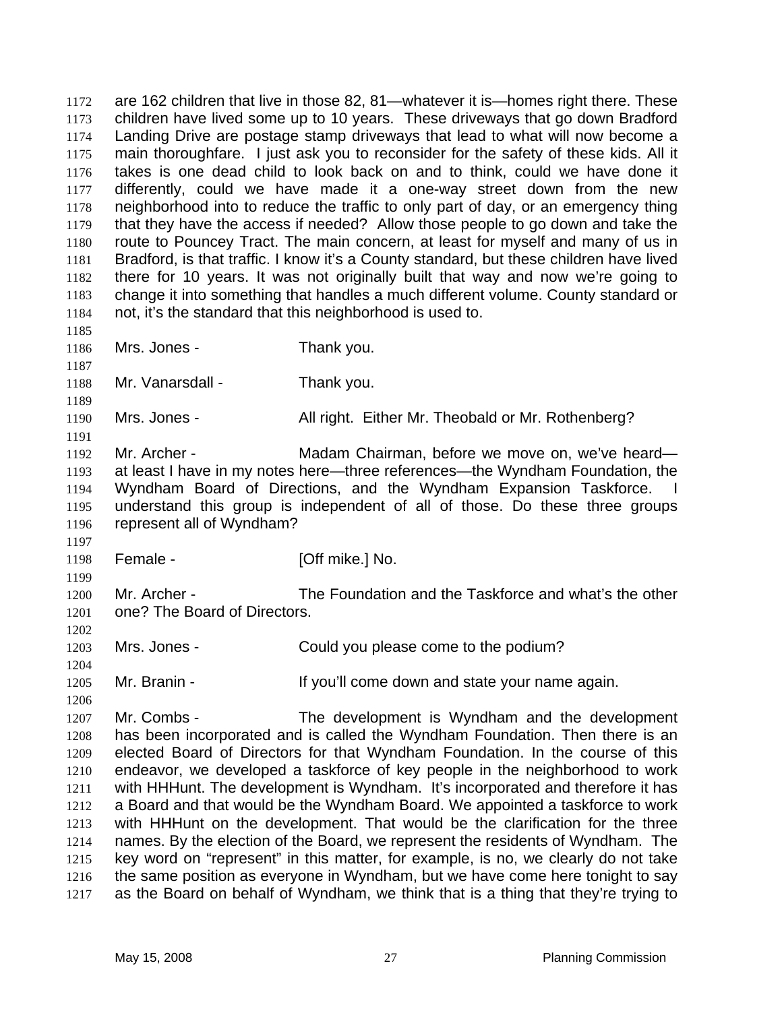are 162 children that live in those 82, 81—whatever it is—homes right there. These children have lived some up to 10 years. These driveways that go down Bradford Landing Drive are postage stamp driveways that lead to what will now become a main thoroughfare. I just ask you to reconsider for the safety of these kids. All it takes is one dead child to look back on and to think, could we have done it differently, could we have made it a one-way street down from the new neighborhood into to reduce the traffic to only part of day, or an emergency thing that they have the access if needed? Allow those people to go down and take the route to Pouncey Tract. The main concern, at least for myself and many of us in Bradford, is that traffic. I know it's a County standard, but these children have lived there for 10 years. It was not originally built that way and now we're going to change it into something that handles a much different volume. County standard or not, it's the standard that this neighborhood is used to. 1172 1173 1174 1175 1176 1177 1178 1179 1180 1181 1182 1183 1184 1185 1186 1187 1188 1189 1190 1191 1192 1193 1194 1195 1196 1197 1198 1199 1200 1201 1202 1203 1204 1205 1206 1207 1208 1209 1210 1211 1212 1213 1214 1215 1216 1217 Mrs. Jones - Thank you. Mr. Vanarsdall - Thank you. Mrs. Jones - **All right. Either Mr. Theobald or Mr. Rothenberg?** Mr. Archer - Madam Chairman, before we move on, we've heard at least I have in my notes here—three references—the Wyndham Foundation, the Wyndham Board of Directions, and the Wyndham Expansion Taskforce. understand this group is independent of all of those. Do these three groups represent all of Wyndham? Female - **[Off mike.]** No. Mr. Archer - The Foundation and the Taskforce and what's the other one? The Board of Directors. Mrs. Jones - Could you please come to the podium? Mr. Branin - The State You'll come down and state your name again. Mr. Combs - The development is Wyndham and the development has been incorporated and is called the Wyndham Foundation. Then there is an elected Board of Directors for that Wyndham Foundation. In the course of this endeavor, we developed a taskforce of key people in the neighborhood to work with HHHunt. The development is Wyndham. It's incorporated and therefore it has a Board and that would be the Wyndham Board. We appointed a taskforce to work with HHHunt on the development. That would be the clarification for the three names. By the election of the Board, we represent the residents of Wyndham. The key word on "represent" in this matter, for example, is no, we clearly do not take the same position as everyone in Wyndham, but we have come here tonight to say as the Board on behalf of Wyndham, we think that is a thing that they're trying to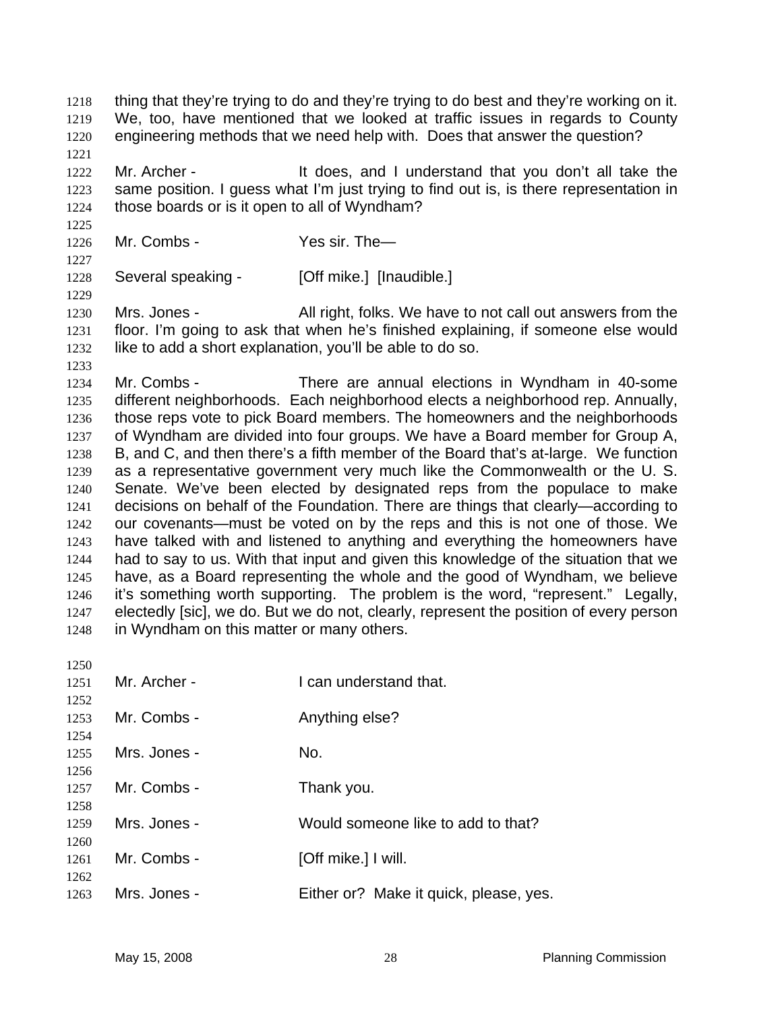thing that they're trying to do and they're trying to do best and they're working on it. We, too, have mentioned that we looked at traffic issues in regards to County engineering methods that we need help with. Does that answer the question? 1218 1219 1220 1221 1222 1223 1224 1225 1226 1227 1228 1229 1230 1231 1232 1233 1234 1235 1236 1237 1238 1239 1240 1241 1242 1243 1244 Mr. Archer - The State of the does, and I understand that you don't all take the same position. I guess what I'm just trying to find out is, is there representation in those boards or is it open to all of Wyndham? Mr. Combs - Yes sir. The Several speaking - [Off mike.] [Inaudible.] Mrs. Jones - All right, folks. We have to not call out answers from the floor. I'm going to ask that when he's finished explaining, if someone else would like to add a short explanation, you'll be able to do so. Mr. Combs - There are annual elections in Wyndham in 40-some different neighborhoods. Each neighborhood elects a neighborhood rep. Annually, those reps vote to pick Board members. The homeowners and the neighborhoods of Wyndham are divided into four groups. We have a Board member for Group A, B, and C, and then there's a fifth member of the Board that's at-large. We function as a representative government very much like the Commonwealth or the U. S. Senate. We've been elected by designated reps from the populace to make decisions on behalf of the Foundation. There are things that clearly—according to our covenants—must be voted on by the reps and this is not one of those. We have talked with and listened to anything and everything the homeowners have had to say to us. With that input and given this knowledge of the situation that we

1245 1246 1247 1248 have, as a Board representing the whole and the good of Wyndham, we believe it's something worth supporting. The problem is the word, "represent." Legally, electedly [sic], we do. But we do not, clearly, represent the position of every person in Wyndham on this matter or many others.

| 1250 |              |                                        |
|------|--------------|----------------------------------------|
| 1251 | Mr. Archer - | I can understand that.                 |
| 1252 |              |                                        |
| 1253 | Mr. Combs -  | Anything else?                         |
| 1254 |              |                                        |
| 1255 | Mrs. Jones - | No.                                    |
| 1256 |              |                                        |
| 1257 | Mr. Combs -  | Thank you.                             |
| 1258 |              |                                        |
| 1259 | Mrs. Jones - | Would someone like to add to that?     |
| 1260 |              |                                        |
| 1261 | Mr. Combs -  | [Off mike.] I will.                    |
| 1262 |              |                                        |
| 1263 | Mrs. Jones - | Either or? Make it quick, please, yes. |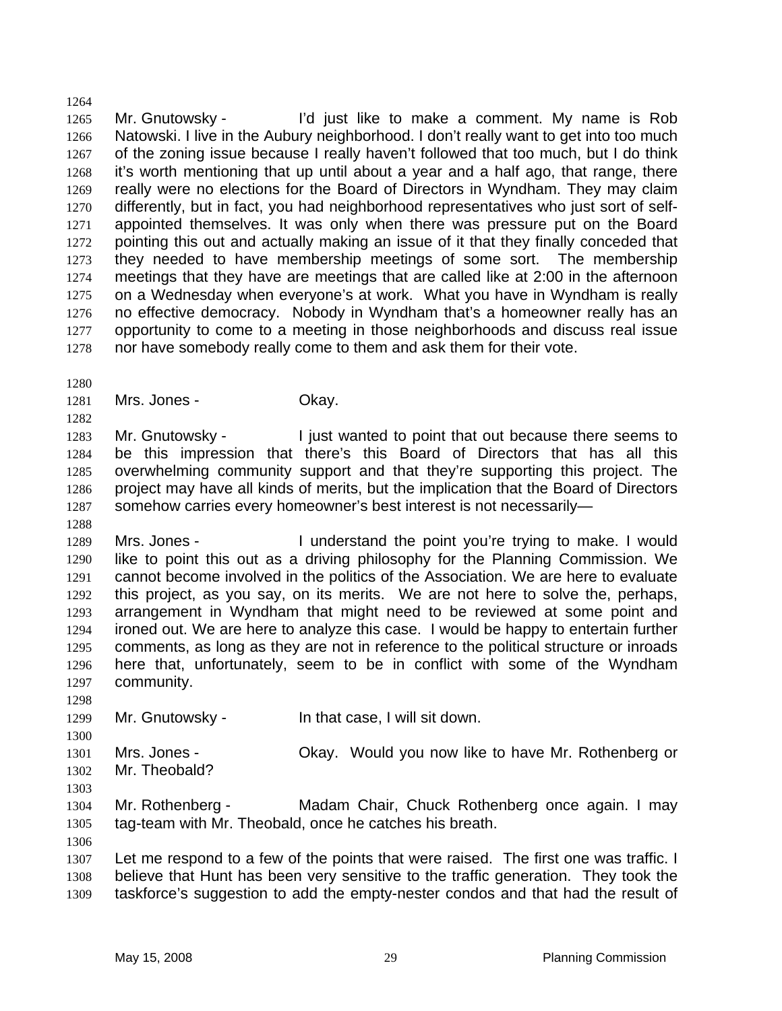1265 1266 1267 1268 1269 1270 1271 1272 1273 1274 1275 1276 1277 1278 Mr. Gnutowsky - I'd just like to make a comment. My name is Rob Natowski. I live in the Aubury neighborhood. I don't really want to get into too much of the zoning issue because I really haven't followed that too much, but I do think it's worth mentioning that up until about a year and a half ago, that range, there really were no elections for the Board of Directors in Wyndham. They may claim differently, but in fact, you had neighborhood representatives who just sort of selfappointed themselves. It was only when there was pressure put on the Board pointing this out and actually making an issue of it that they finally conceded that they needed to have membership meetings of some sort. The membership meetings that they have are meetings that are called like at 2:00 in the afternoon on a Wednesday when everyone's at work. What you have in Wyndham is really no effective democracy. Nobody in Wyndham that's a homeowner really has an opportunity to come to a meeting in those neighborhoods and discuss real issue nor have somebody really come to them and ask them for their vote.

1280

1282

1288

1264

1281 Mrs. Jones - Chay.

1283 1284 1285 1286 1287 Mr. Gnutowsky - I just wanted to point that out because there seems to be this impression that there's this Board of Directors that has all this overwhelming community support and that they're supporting this project. The project may have all kinds of merits, but the implication that the Board of Directors somehow carries every homeowner's best interest is not necessarily—

1289 1290 1291 1292 1293 1294 1295 1296 1297 Mrs. Jones - I understand the point you're trying to make. I would like to point this out as a driving philosophy for the Planning Commission. We cannot become involved in the politics of the Association. We are here to evaluate this project, as you say, on its merits. We are not here to solve the, perhaps, arrangement in Wyndham that might need to be reviewed at some point and ironed out. We are here to analyze this case. I would be happy to entertain further comments, as long as they are not in reference to the political structure or inroads here that, unfortunately, seem to be in conflict with some of the Wyndham community.

1299 Mr. Gnutowsky - In that case, I will sit down.

1301 1302 1303 Mrs. Jones - Ckay. Would you now like to have Mr. Rothenberg or Mr. Theobald?

1304 1305 Mr. Rothenberg - Madam Chair, Chuck Rothenberg once again. I may tag-team with Mr. Theobald, once he catches his breath.

1306

1298

1300

1307 1308 1309 Let me respond to a few of the points that were raised. The first one was traffic. I believe that Hunt has been very sensitive to the traffic generation. They took the taskforce's suggestion to add the empty-nester condos and that had the result of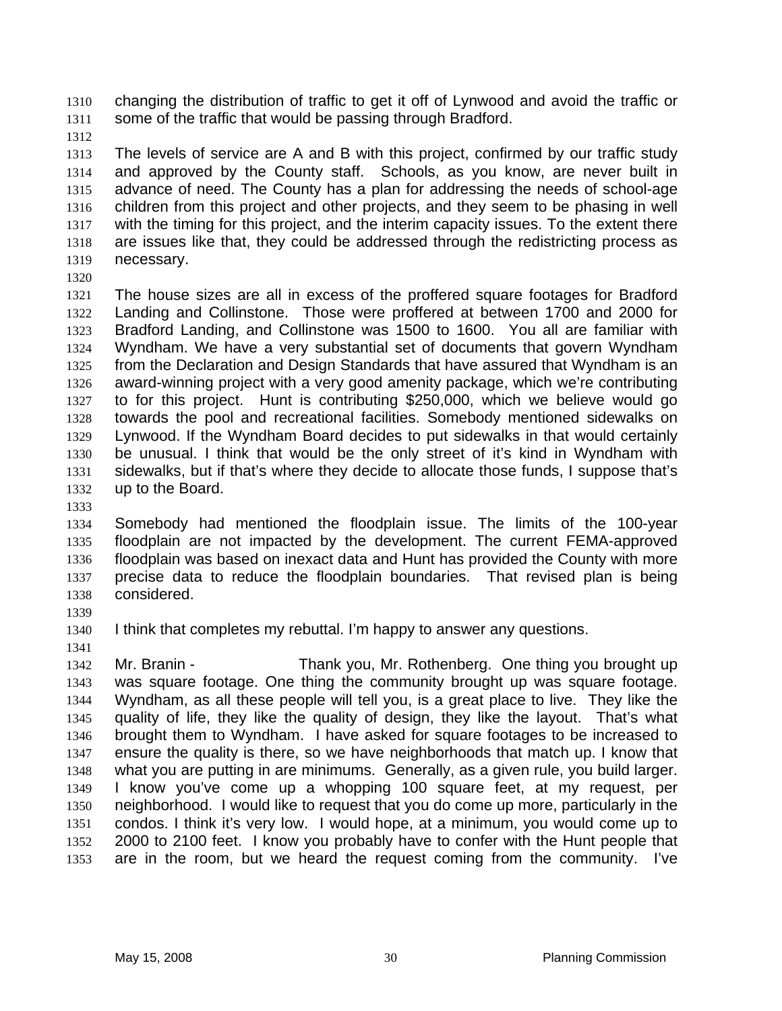changing the distribution of traffic to get it off of Lynwood and avoid the traffic or some of the traffic that would be passing through Bradford. 1310 1311

1312

1313 1314 1315 1316 1317 1318 1319 The levels of service are A and B with this project, confirmed by our traffic study and approved by the County staff. Schools, as you know, are never built in advance of need. The County has a plan for addressing the needs of school-age children from this project and other projects, and they seem to be phasing in well with the timing for this project, and the interim capacity issues. To the extent there are issues like that, they could be addressed through the redistricting process as necessary.

1320

1321 1322 1323 1324 1325 1326 1327 1328 1329 1330 1331 1332 The house sizes are all in excess of the proffered square footages for Bradford Landing and Collinstone. Those were proffered at between 1700 and 2000 for Bradford Landing, and Collinstone was 1500 to 1600. You all are familiar with Wyndham. We have a very substantial set of documents that govern Wyndham from the Declaration and Design Standards that have assured that Wyndham is an award-winning project with a very good amenity package, which we're contributing to for this project. Hunt is contributing \$250,000, which we believe would go towards the pool and recreational facilities. Somebody mentioned sidewalks on Lynwood. If the Wyndham Board decides to put sidewalks in that would certainly be unusual. I think that would be the only street of it's kind in Wyndham with sidewalks, but if that's where they decide to allocate those funds, I suppose that's up to the Board.

1333

1334 1335 1336 1337 1338 Somebody had mentioned the floodplain issue. The limits of the 100-year floodplain are not impacted by the development. The current FEMA-approved floodplain was based on inexact data and Hunt has provided the County with more precise data to reduce the floodplain boundaries. That revised plan is being considered.

1339

1341

1340

I think that completes my rebuttal. I'm happy to answer any questions.

1342 1343 1344 1345 1346 1347 1348 1349 1350 1351 1352 1353 Mr. Branin - Thank you, Mr. Rothenberg. One thing you brought up was square footage. One thing the community brought up was square footage. Wyndham, as all these people will tell you, is a great place to live. They like the quality of life, they like the quality of design, they like the layout. That's what brought them to Wyndham. I have asked for square footages to be increased to ensure the quality is there, so we have neighborhoods that match up. I know that what you are putting in are minimums. Generally, as a given rule, you build larger. I know you've come up a whopping 100 square feet, at my request, per neighborhood. I would like to request that you do come up more, particularly in the condos. I think it's very low. I would hope, at a minimum, you would come up to 2000 to 2100 feet. I know you probably have to confer with the Hunt people that are in the room, but we heard the request coming from the community. I've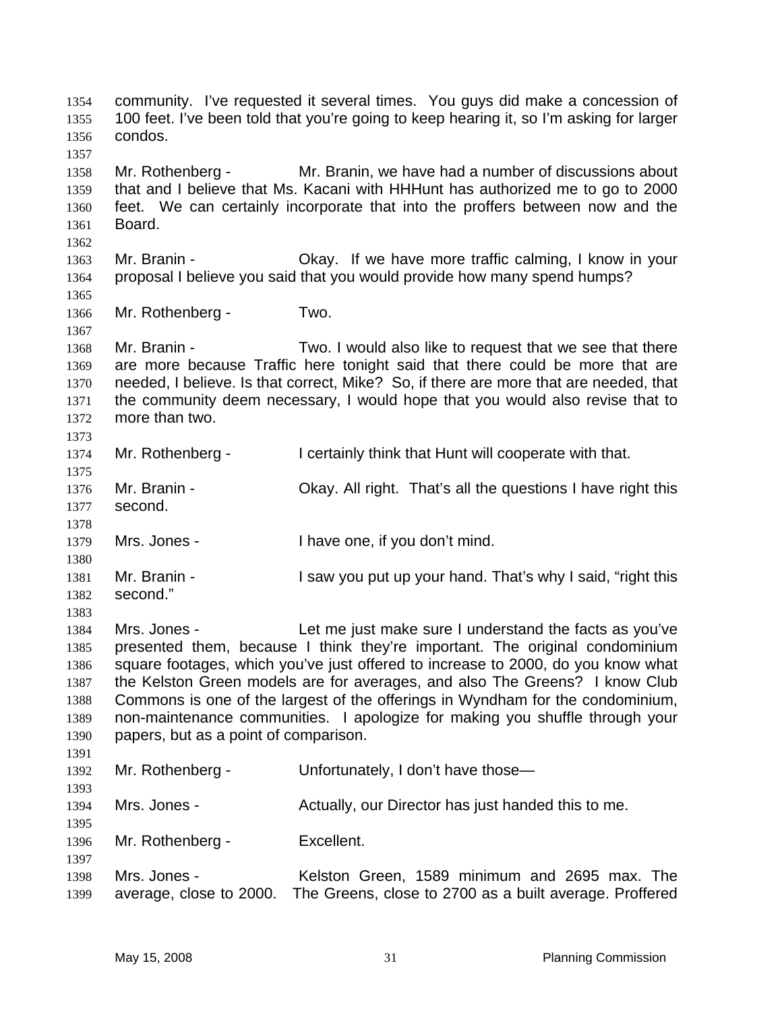community. I've requested it several times. You guys did make a concession of 100 feet. I've been told that you're going to keep hearing it, so I'm asking for larger condos. 1354 1355 1356 1357 1358 1359 1360 1361 1362 1363 1364 1365 1366 1367 1368 1369 1370 1371 1372 1373 1374 1375 1376 1377 1378 1379 1380 1381 1382 1383 1384 1385 1386 1387 1388 1389 1390 1391 1392 1393 1394 1395 1396 1397 1398 1399 Mr. Rothenberg - Mr. Branin, we have had a number of discussions about that and I believe that Ms. Kacani with HHHunt has authorized me to go to 2000 feet. We can certainly incorporate that into the proffers between now and the Board. Mr. Branin - Ckay. If we have more traffic calming, I know in your proposal I believe you said that you would provide how many spend humps? Mr. Rothenberg - Two. Mr. Branin - Two. I would also like to request that we see that there are more because Traffic here tonight said that there could be more that are needed, I believe. Is that correct, Mike? So, if there are more that are needed, that the community deem necessary, I would hope that you would also revise that to more than two. Mr. Rothenberg - I certainly think that Hunt will cooperate with that. Mr. Branin - Okay. All right. That's all the questions I have right this second. Mrs. Jones - I have one, if you don't mind. Mr. Branin - I saw you put up your hand. That's why I said, "right this second." Mrs. Jones - The Let me just make sure I understand the facts as you've presented them, because I think they're important. The original condominium square footages, which you've just offered to increase to 2000, do you know what the Kelston Green models are for averages, and also The Greens? I know Club Commons is one of the largest of the offerings in Wyndham for the condominium, non-maintenance communities. I apologize for making you shuffle through your papers, but as a point of comparison. Mr. Rothenberg - Unfortunately, I don't have those— Mrs. Jones - The Actually, our Director has just handed this to me. Mr. Rothenberg - Excellent. Mrs. Jones - Kelston Green, 1589 minimum and 2695 max. The average, close to 2000. The Greens, close to 2700 as a built average. Proffered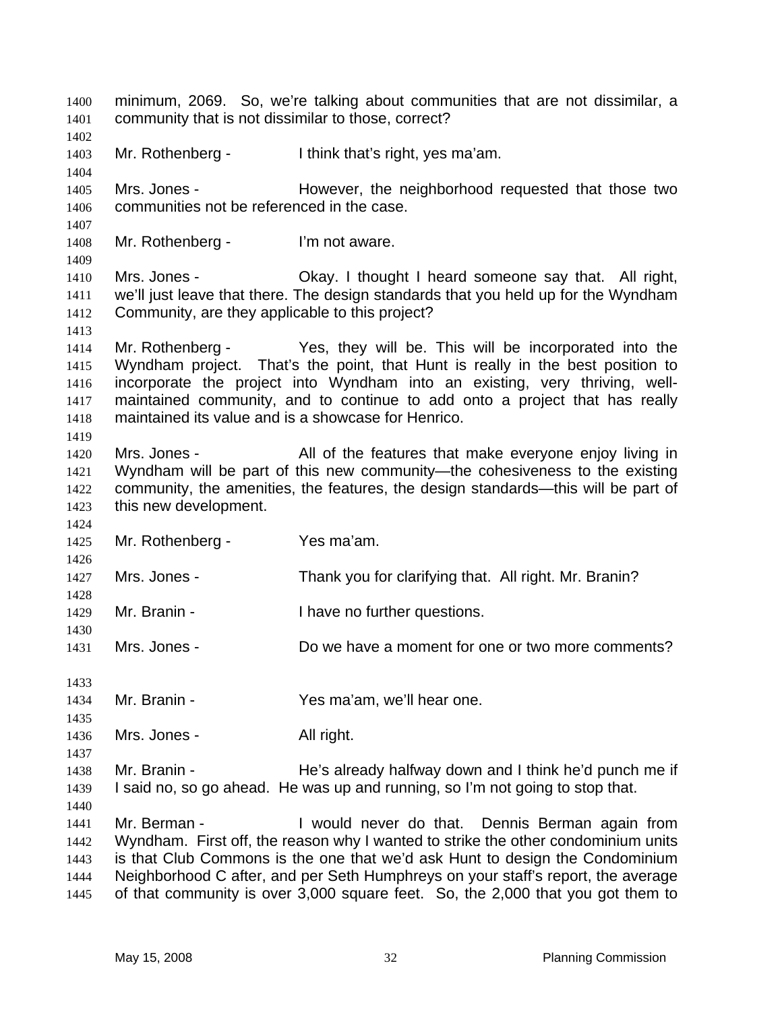minimum, 2069. So, we're talking about communities that are not dissimilar, a community that is not dissimilar to those, correct? 1400 1401 1402 1403 1404 1405 1406 1407 1408 1409 1410 1411 1412 1413 1414 1415 1416 1417 1418 1419 1420 1421 1422 1423 1424 1425 1426 1427 1428 1429 1430 1431 1433 1434 1435 1436 1437 1438 1439 1440 1441 1442 1443 1444 1445 Mr. Rothenberg - Ithink that's right, yes ma'am. Mrs. Jones - **However**, the neighborhood requested that those two communities not be referenced in the case. Mr. Rothenberg - I'm not aware. Mrs. Jones - Okay. I thought I heard someone say that. All right, we'll just leave that there. The design standards that you held up for the Wyndham Community, are they applicable to this project? Mr. Rothenberg - Yes, they will be. This will be incorporated into the Wyndham project. That's the point, that Hunt is really in the best position to incorporate the project into Wyndham into an existing, very thriving, wellmaintained community, and to continue to add onto a project that has really maintained its value and is a showcase for Henrico. Mrs. Jones - All of the features that make everyone enjoy living in Wyndham will be part of this new community—the cohesiveness to the existing community, the amenities, the features, the design standards—this will be part of this new development. Mr. Rothenberg - Yes ma'am. Mrs. Jones - Thank you for clarifying that. All right. Mr. Branin? Mr. Branin - Thave no further questions. Mrs. Jones - Do we have a moment for one or two more comments? Mr. Branin - Yes ma'am, we'll hear one. Mrs. Jones - All right. Mr. Branin - The's already halfway down and I think he'd punch me if I said no, so go ahead. He was up and running, so I'm not going to stop that. Mr. Berman - I would never do that. Dennis Berman again from Wyndham. First off, the reason why I wanted to strike the other condominium units is that Club Commons is the one that we'd ask Hunt to design the Condominium Neighborhood C after, and per Seth Humphreys on your staff's report, the average of that community is over 3,000 square feet. So, the 2,000 that you got them to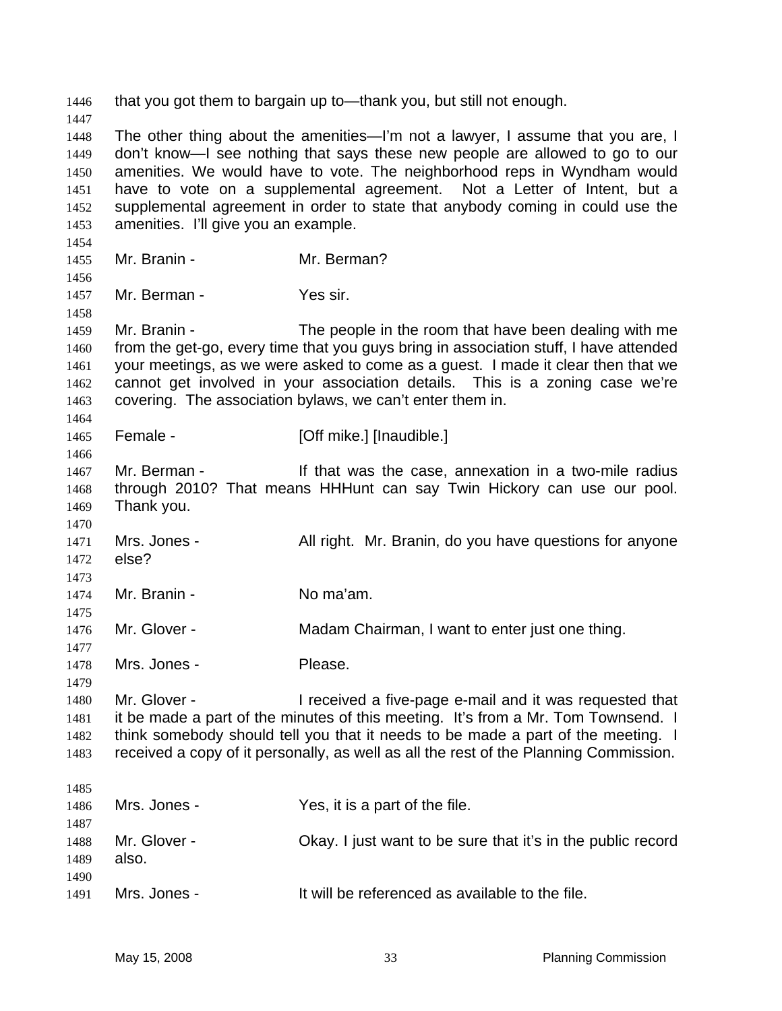1446 that you got them to bargain up to—thank you, but still not enough. 1447 1448 1449 1450 1451 1452 1453 1454 1455 1456 1457 1458 1459 1460 1461 1462 1463 1464 1465 1466 1467 1468 1469 1470 1471 1472 1473 1474 1475 1476 1477 1478 1479 1480 1481 1482 1483 1485 1486 1487 1488 1489 1490 1491 The other thing about the amenities—I'm not a lawyer, I assume that you are, I don't know—I see nothing that says these new people are allowed to go to our amenities. We would have to vote. The neighborhood reps in Wyndham would have to vote on a supplemental agreement. Not a Letter of Intent, but a supplemental agreement in order to state that anybody coming in could use the amenities. I'll give you an example. Mr. Branin - Mr. Berman? Mr. Berman - Yes sir. Mr. Branin - The people in the room that have been dealing with me from the get-go, every time that you guys bring in association stuff, I have attended your meetings, as we were asked to come as a guest. I made it clear then that we cannot get involved in your association details. This is a zoning case we're covering. The association bylaws, we can't enter them in. Female - [Off mike.] [Inaudible.] Mr. Berman - The Must was the case, annexation in a two-mile radius through 2010? That means HHHunt can say Twin Hickory can use our pool. Thank you. Mrs. Jones - All right. Mr. Branin, do you have questions for anyone else? Mr. Branin - No ma'am. Mr. Glover - Madam Chairman, I want to enter just one thing. Mrs. Jones - Please. Mr. Glover - The ceived a five-page e-mail and it was requested that it be made a part of the minutes of this meeting. It's from a Mr. Tom Townsend. I think somebody should tell you that it needs to be made a part of the meeting. I received a copy of it personally, as well as all the rest of the Planning Commission. Mrs. Jones - Yes, it is a part of the file. Mr. Glover - Chay. I just want to be sure that it's in the public record also. Mrs. Jones - It will be referenced as available to the file.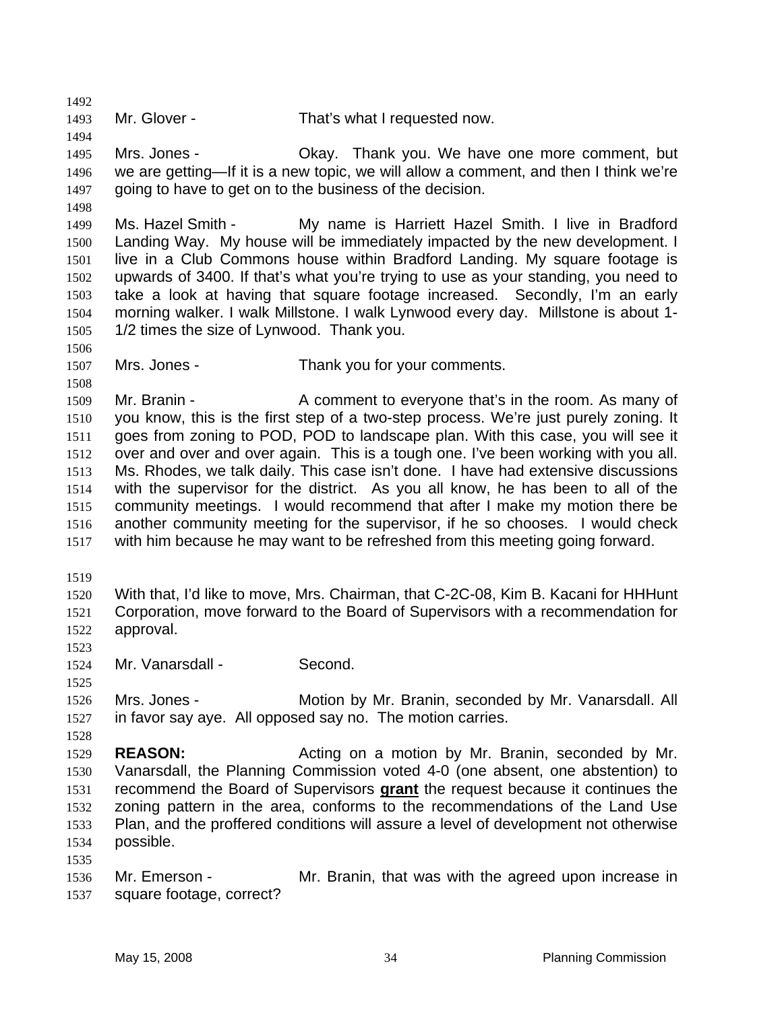1493 Mr. Glover - That's what I requested now.

1495 1496 1497 1498 Mrs. Jones - Okay. Thank you. We have one more comment, but we are getting—If it is a new topic, we will allow a comment, and then I think we're going to have to get on to the business of the decision.

1499 1500 1501 1502 1503 1504 1505 Ms. Hazel Smith - My name is Harriett Hazel Smith. I live in Bradford Landing Way. My house will be immediately impacted by the new development. I live in a Club Commons house within Bradford Landing. My square footage is upwards of 3400. If that's what you're trying to use as your standing, you need to take a look at having that square footage increased. Secondly, I'm an early morning walker. I walk Millstone. I walk Lynwood every day. Millstone is about 1- 1/2 times the size of Lynwood. Thank you.

1506

1492

1494

1507 1508 Mrs. Jones - Thank you for your comments.

1509 1510 1511 1512 1513 1514 1515 1516 1517 Mr. Branin - A comment to everyone that's in the room. As many of you know, this is the first step of a two-step process. We're just purely zoning. It goes from zoning to POD, POD to landscape plan. With this case, you will see it over and over and over again. This is a tough one. I've been working with you all. Ms. Rhodes, we talk daily. This case isn't done. I have had extensive discussions with the supervisor for the district. As you all know, he has been to all of the community meetings. I would recommend that after I make my motion there be another community meeting for the supervisor, if he so chooses. I would check with him because he may want to be refreshed from this meeting going forward.

1519

1520 1521 1522 With that, I'd like to move, Mrs. Chairman, that C-2C-08, Kim B. Kacani for HHHunt Corporation, move forward to the Board of Supervisors with a recommendation for approval.

1523 1524

1525

1528

1535

Mr. Vanarsdall - Second.

1526 1527 Mrs. Jones - **Motion by Mr. Branin, seconded by Mr. Vanarsdall. All** in favor say aye. All opposed say no. The motion carries.

1529 1530 **REASON:** Acting on a motion by Mr. Branin, seconded by Mr. Vanarsdall, the Planning Commission voted 4-0 (one absent, one abstention) to recommend the Board of Supervisors **grant** the request because it continues the zoning pattern in the area, conforms to the recommendations of the Land Use Plan, and the proffered conditions will assure a level of development not otherwise possible. 1531 1532 1533 1534

1536 1537 Mr. Emerson - Mr. Branin, that was with the agreed upon increase in square footage, correct?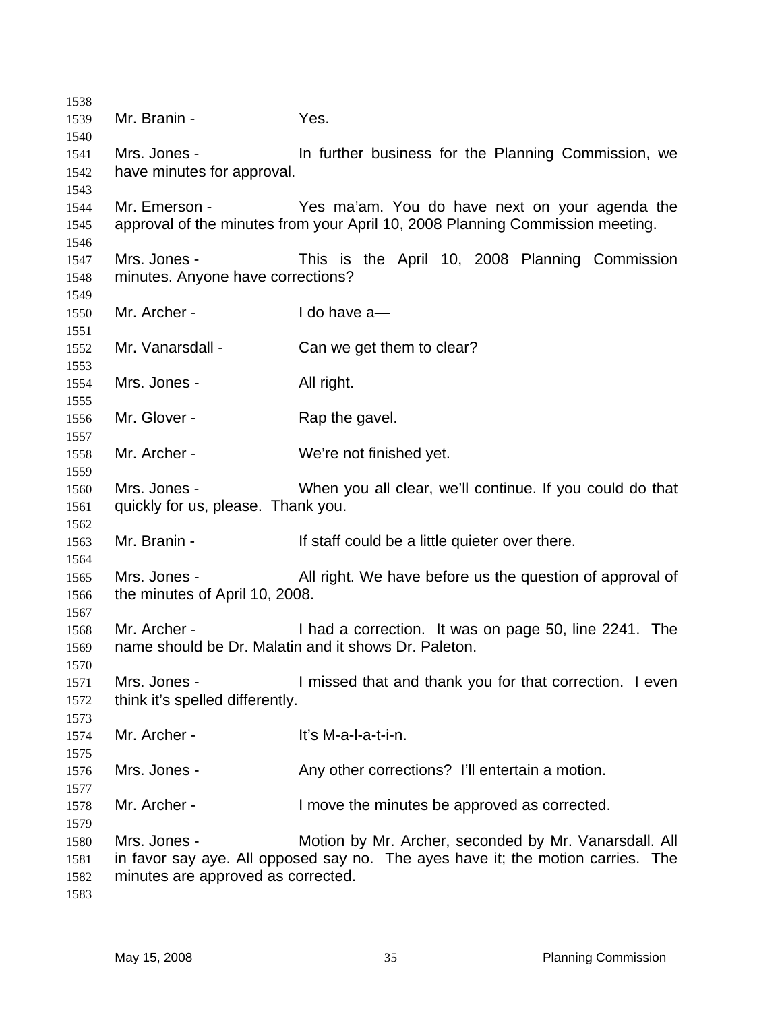Mr. Branin - Yes. Mrs. Jones - In further business for the Planning Commission, we have minutes for approval. Mr. Emerson - Yes ma'am. You do have next on your agenda the approval of the minutes from your April 10, 2008 Planning Commission meeting. Mrs. Jones - This is the April 10, 2008 Planning Commission minutes. Anyone have corrections? Mr. Archer - I do have a Mr. Vanarsdall - Can we get them to clear? Mrs. Jones - All right. Mr. Glover - Rap the gavel. Mr. Archer - We're not finished yet. Mrs. Jones - When you all clear, we'll continue. If you could do that quickly for us, please. Thank you. Mr. Branin - The Staff could be a little quieter over there. Mrs. Jones - All right. We have before us the question of approval of the minutes of April 10, 2008. Mr. Archer - I had a correction. It was on page 50, line 2241. The name should be Dr. Malatin and it shows Dr. Paleton. Mrs. Jones - I missed that and thank you for that correction. I even think it's spelled differently. Mr. Archer - The M-a-l-a-t-i-n. Mrs. Jones - Any other corrections? I'll entertain a motion. Mr. Archer - I move the minutes be approved as corrected. Mrs. Jones - Motion by Mr. Archer, seconded by Mr. Vanarsdall. All in favor say aye. All opposed say no. The ayes have it; the motion carries. The minutes are approved as corrected.